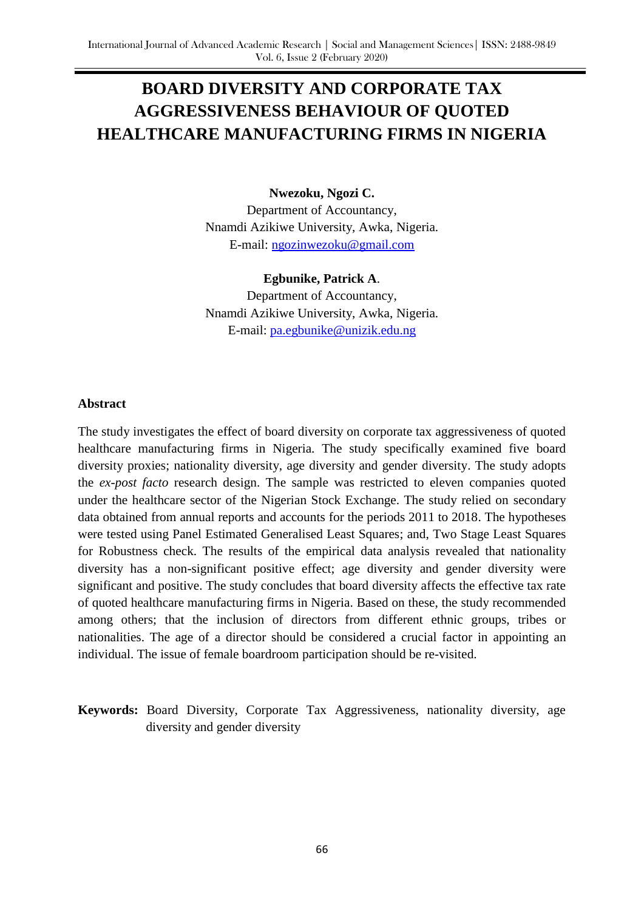# **BOARD DIVERSITY AND CORPORATE TAX AGGRESSIVENESS BEHAVIOUR OF QUOTED HEALTHCARE MANUFACTURING FIRMS IN NIGERIA**

# **Nwezoku, Ngozi C.**

Department of Accountancy, Nnamdi Azikiwe University, Awka, Nigeria. E-mail: [ngozinwezoku@gmail.com](mailto:ngozinwezoku@gmail.com)

### **Egbunike, Patrick A**.

Department of Accountancy, Nnamdi Azikiwe University, Awka, Nigeria. E-mail: [pa.egbunike@unizik.edu.ng](mailto:pa.egbunike@unizik.edu.ng)

#### **Abstract**

The study investigates the effect of board diversity on corporate tax aggressiveness of quoted healthcare manufacturing firms in Nigeria. The study specifically examined five board diversity proxies; nationality diversity, age diversity and gender diversity. The study adopts the *ex-post facto* research design. The sample was restricted to eleven companies quoted under the healthcare sector of the Nigerian Stock Exchange. The study relied on secondary data obtained from annual reports and accounts for the periods 2011 to 2018. The hypotheses were tested using Panel Estimated Generalised Least Squares; and, Two Stage Least Squares for Robustness check. The results of the empirical data analysis revealed that nationality diversity has a non-significant positive effect; age diversity and gender diversity were significant and positive. The study concludes that board diversity affects the effective tax rate of quoted healthcare manufacturing firms in Nigeria. Based on these, the study recommended among others; that the inclusion of directors from different ethnic groups, tribes or nationalities. The age of a director should be considered a crucial factor in appointing an individual. The issue of female boardroom participation should be re-visited.

**Keywords:** Board Diversity, Corporate Tax Aggressiveness, nationality diversity, age diversity and gender diversity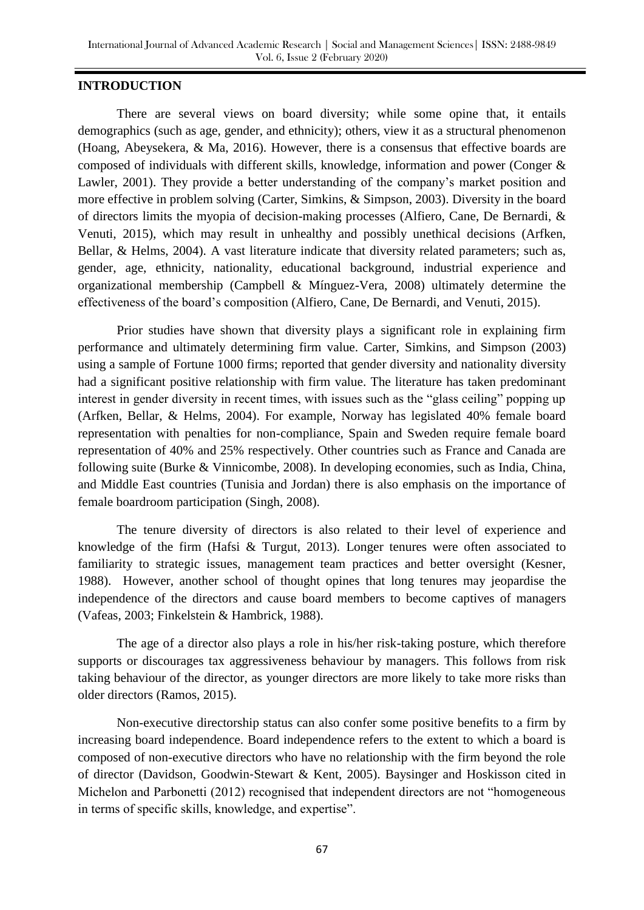#### **INTRODUCTION**

There are several views on board diversity; while some opine that, it entails demographics (such as age, gender, and ethnicity); others, view it as a structural phenomenon (Hoang, Abeysekera, & Ma, 2016). However, there is a consensus that effective boards are composed of individuals with different skills, knowledge, information and power (Conger & Lawler, 2001). They provide a better understanding of the company's market position and more effective in problem solving (Carter, Simkins, & Simpson, 2003). Diversity in the board of directors limits the myopia of decision-making processes (Alfiero, Cane, De Bernardi, & Venuti, 2015), which may result in unhealthy and possibly unethical decisions (Arfken, Bellar, & Helms, 2004). A vast literature indicate that diversity related parameters; such as, gender, age, ethnicity, nationality, educational background, industrial experience and organizational membership (Campbell & Mínguez-Vera, 2008) ultimately determine the effectiveness of the board's composition (Alfiero, Cane, De Bernardi, and Venuti, 2015).

Prior studies have shown that diversity plays a significant role in explaining firm performance and ultimately determining firm value. Carter, Simkins, and Simpson (2003) using a sample of Fortune 1000 firms; reported that gender diversity and nationality diversity had a significant positive relationship with firm value. The literature has taken predominant interest in gender diversity in recent times, with issues such as the "glass ceiling" popping up (Arfken, Bellar, & Helms, 2004). For example, Norway has legislated 40% female board representation with penalties for non-compliance, Spain and Sweden require female board representation of 40% and 25% respectively. Other countries such as France and Canada are following suite (Burke & Vinnicombe, 2008). In developing economies, such as India, China, and Middle East countries (Tunisia and Jordan) there is also emphasis on the importance of female boardroom participation (Singh, 2008).

The tenure diversity of directors is also related to their level of experience and knowledge of the firm (Hafsi & Turgut, 2013). Longer tenures were often associated to familiarity to strategic issues, management team practices and better oversight (Kesner, 1988). However, another school of thought opines that long tenures may jeopardise the independence of the directors and cause board members to become captives of managers (Vafeas, 2003; Finkelstein & Hambrick, 1988).

The age of a director also plays a role in his/her risk-taking posture, which therefore supports or discourages tax aggressiveness behaviour by managers. This follows from risk taking behaviour of the director, as younger directors are more likely to take more risks than older directors (Ramos, 2015).

Non-executive directorship status can also confer some positive benefits to a firm by increasing board independence. Board independence refers to the extent to which a board is composed of non-executive directors who have no relationship with the firm beyond the role of director (Davidson, Goodwin‐Stewart & Kent, 2005). Baysinger and Hoskisson cited in Michelon and Parbonetti (2012) recognised that independent directors are not "homogeneous in terms of specific skills, knowledge, and expertise".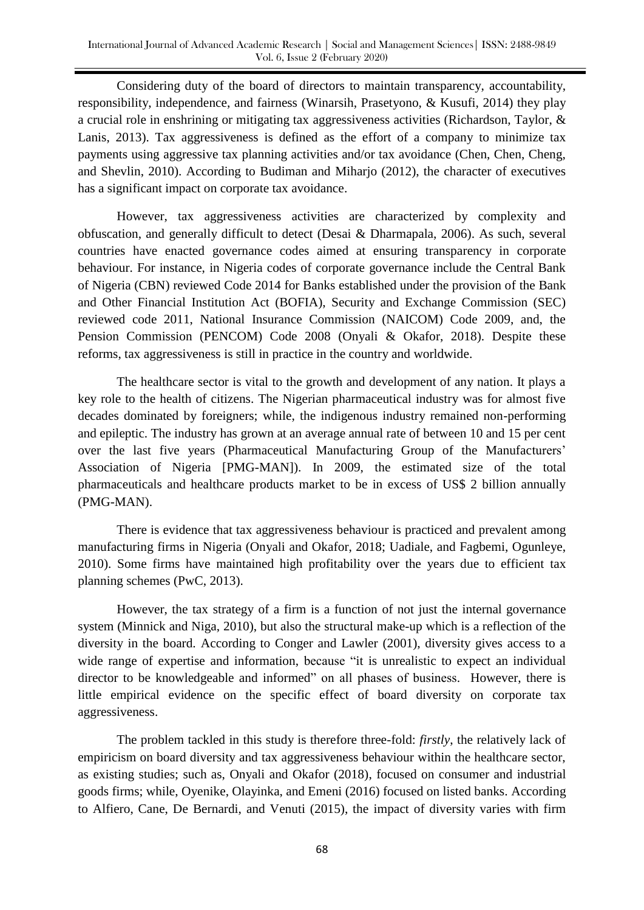Considering duty of the board of directors to maintain transparency, accountability, responsibility, independence, and fairness (Winarsih, Prasetyono, & Kusufi, 2014) they play a crucial role in enshrining or mitigating tax aggressiveness activities (Richardson, Taylor, & Lanis, 2013). Tax aggressiveness is defined as the effort of a company to minimize tax payments using aggressive tax planning activities and/or tax avoidance (Chen, Chen, Cheng, and Shevlin, 2010). According to Budiman and Miharjo (2012), the character of executives has a significant impact on corporate tax avoidance.

However, tax aggressiveness activities are characterized by complexity and obfuscation, and generally difficult to detect (Desai & Dharmapala, 2006). As such, several countries have enacted governance codes aimed at ensuring transparency in corporate behaviour. For instance, in Nigeria codes of corporate governance include the Central Bank of Nigeria (CBN) reviewed Code 2014 for Banks established under the provision of the Bank and Other Financial Institution Act (BOFIA), Security and Exchange Commission (SEC) reviewed code 2011, National Insurance Commission (NAICOM) Code 2009, and, the Pension Commission (PENCOM) Code 2008 (Onyali & Okafor, 2018). Despite these reforms, tax aggressiveness is still in practice in the country and worldwide.

The healthcare sector is vital to the growth and development of any nation. It plays a key role to the health of citizens. The Nigerian pharmaceutical industry was for almost five decades dominated by foreigners; while, the indigenous industry remained non-performing and epileptic. The industry has grown at an average annual rate of between 10 and 15 per cent over the last five years (Pharmaceutical Manufacturing Group of the Manufacturers' Association of Nigeria [PMG-MAN]). In 2009, the estimated size of the total pharmaceuticals and healthcare products market to be in excess of US\$ 2 billion annually (PMG-MAN).

There is evidence that tax aggressiveness behaviour is practiced and prevalent among manufacturing firms in Nigeria (Onyali and Okafor, 2018; Uadiale, and Fagbemi, Ogunleye, 2010). Some firms have maintained high profitability over the years due to efficient tax planning schemes (PwC, 2013).

However, the tax strategy of a firm is a function of not just the internal governance system (Minnick and Niga, 2010), but also the structural make-up which is a reflection of the diversity in the board. According to Conger and Lawler (2001), diversity gives access to a wide range of expertise and information, because "it is unrealistic to expect an individual director to be knowledgeable and informed" on all phases of business. However, there is little empirical evidence on the specific effect of board diversity on corporate tax aggressiveness.

The problem tackled in this study is therefore three-fold: *firstly*, the relatively lack of empiricism on board diversity and tax aggressiveness behaviour within the healthcare sector, as existing studies; such as, Onyali and Okafor (2018), focused on consumer and industrial goods firms; while, Oyenike, Olayinka, and Emeni (2016) focused on listed banks. According to Alfiero, Cane, De Bernardi, and Venuti (2015), the impact of diversity varies with firm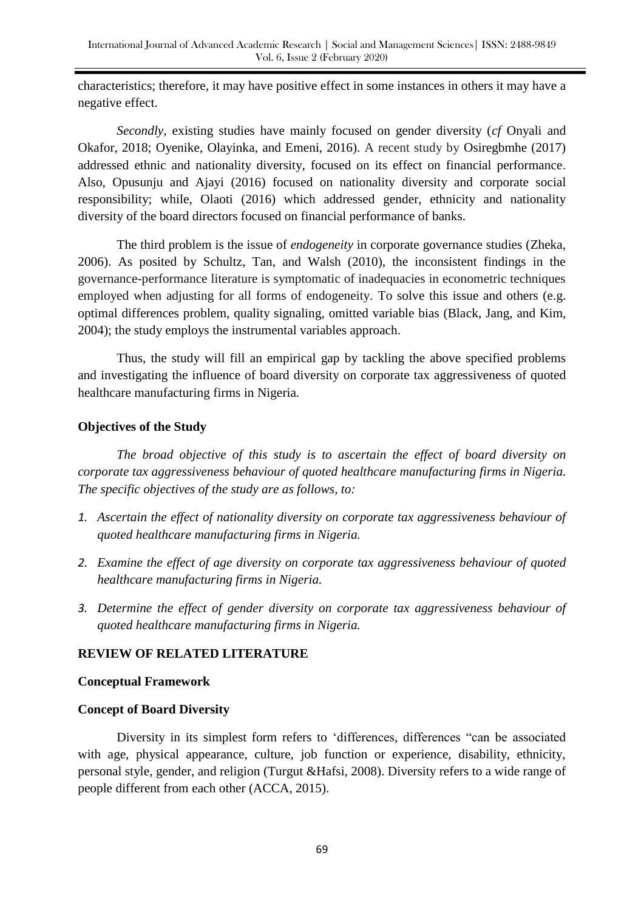characteristics; therefore, it may have positive effect in some instances in others it may have a negative effect.

*Secondly*, existing studies have mainly focused on gender diversity (*cf* Onyali and Okafor, 2018; Oyenike, Olayinka, and Emeni, 2016). A recent study by Osiregbmhe (2017) addressed ethnic and nationality diversity, focused on its effect on financial performance. Also, Opusunju and Ajayi (2016) focused on nationality diversity and corporate social responsibility; while, Olaoti (2016) which addressed gender, ethnicity and nationality diversity of the board directors focused on financial performance of banks.

The third problem is the issue of *endogeneity* in corporate governance studies (Zheka, 2006). As posited by Schultz, Tan, and Walsh (2010), the inconsistent findings in the governance-performance literature is symptomatic of inadequacies in econometric techniques employed when adjusting for all forms of endogeneity. To solve this issue and others (e.g. optimal differences problem, quality signaling, omitted variable bias (Black, Jang, and Kim, 2004); the study employs the instrumental variables approach.

Thus, the study will fill an empirical gap by tackling the above specified problems and investigating the influence of board diversity on corporate tax aggressiveness of quoted healthcare manufacturing firms in Nigeria.

# **Objectives of the Study**

*The broad objective of this study is to ascertain the effect of board diversity on corporate tax aggressiveness behaviour of quoted healthcare manufacturing firms in Nigeria. The specific objectives of the study are as follows, to:*

- *1. Ascertain the effect of nationality diversity on corporate tax aggressiveness behaviour of quoted healthcare manufacturing firms in Nigeria.*
- *2. Examine the effect of age diversity on corporate tax aggressiveness behaviour of quoted healthcare manufacturing firms in Nigeria.*
- *3. Determine the effect of gender diversity on corporate tax aggressiveness behaviour of quoted healthcare manufacturing firms in Nigeria.*

# **REVIEW OF RELATED LITERATURE**

# **Conceptual Framework**

# **Concept of Board Diversity**

Diversity in its simplest form refers to 'differences, differences "can be associated with age, physical appearance, culture, job function or experience, disability, ethnicity, personal style, gender, and religion (Turgut &Hafsi, 2008). Diversity refers to a wide range of people different from each other (ACCA, 2015).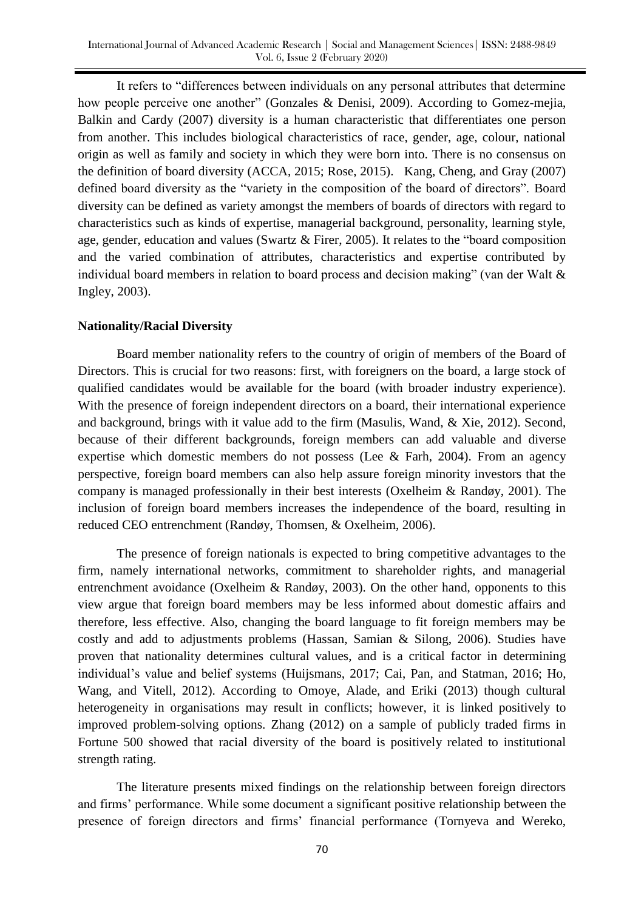It refers to "differences between individuals on any personal attributes that determine how people perceive one another" (Gonzales & Denisi, 2009). According to Gomez-mejia, Balkin and Cardy (2007) diversity is a human characteristic that differentiates one person from another. This includes biological characteristics of race, gender, age, colour, national origin as well as family and society in which they were born into. There is no consensus on the definition of board diversity (ACCA, 2015; Rose, 2015). Kang, Cheng, and Gray (2007) defined board diversity as the "variety in the composition of the board of directors". Board diversity can be defined as variety amongst the members of boards of directors with regard to characteristics such as kinds of expertise, managerial background, personality, learning style, age, gender, education and values (Swartz  $\&$  Firer, 2005). It relates to the "board composition and the varied combination of attributes, characteristics and expertise contributed by individual board members in relation to board process and decision making" (van der Walt  $\&$ Ingley, 2003).

# **Nationality/Racial Diversity**

Board member nationality refers to the country of origin of members of the Board of Directors. This is crucial for two reasons: first, with foreigners on the board, a large stock of qualified candidates would be available for the board (with broader industry experience). With the presence of foreign independent directors on a board, their international experience and background, brings with it value add to the firm (Masulis, Wand, & Xie, 2012). Second, because of their different backgrounds, foreign members can add valuable and diverse expertise which domestic members do not possess (Lee & Farh, 2004). From an agency perspective, foreign board members can also help assure foreign minority investors that the company is managed professionally in their best interests (Oxelheim & Randøy, 2001). The inclusion of foreign board members increases the independence of the board, resulting in reduced CEO entrenchment (Randøy, Thomsen, & Oxelheim, 2006).

The presence of foreign nationals is expected to bring competitive advantages to the firm, namely international networks, commitment to shareholder rights, and managerial entrenchment avoidance (Oxelheim & Randøy, 2003). On the other hand, opponents to this view argue that foreign board members may be less informed about domestic affairs and therefore, less effective. Also, changing the board language to fit foreign members may be costly and add to adjustments problems (Hassan, Samian & Silong, 2006). Studies have proven that nationality determines cultural values, and is a critical factor in determining individual's value and belief systems (Huijsmans, 2017; Cai, Pan, and Statman, 2016; Ho, Wang, and Vitell, 2012). According to Omoye, Alade, and Eriki (2013) though cultural heterogeneity in organisations may result in conflicts; however, it is linked positively to improved problem-solving options. Zhang (2012) on a sample of publicly traded firms in Fortune 500 showed that racial diversity of the board is positively related to institutional strength rating.

The literature presents mixed findings on the relationship between foreign directors and firms' performance. While some document a significant positive relationship between the presence of foreign directors and firms' financial performance (Tornyeva and Wereko,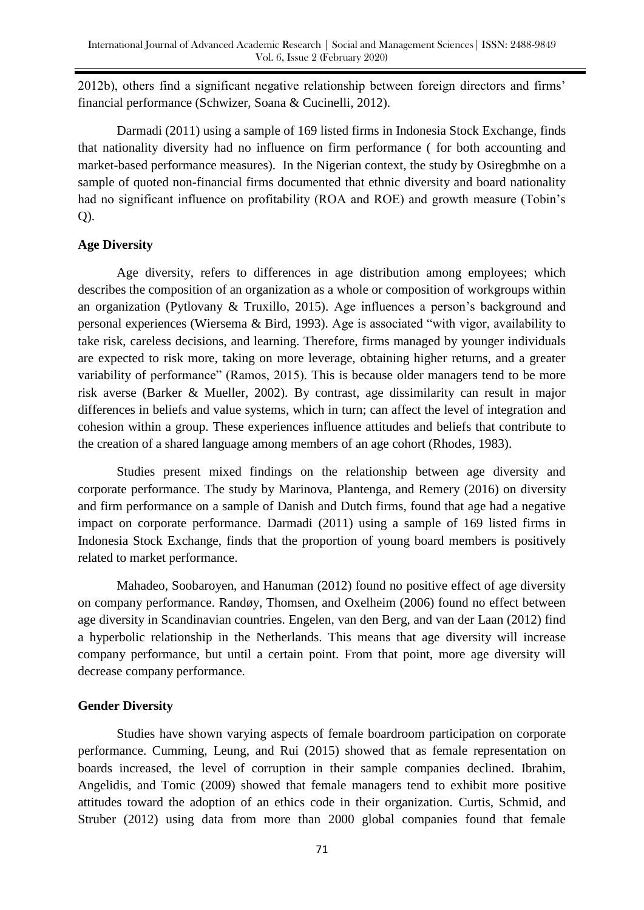2012b), others find a significant negative relationship between foreign directors and firms' financial performance (Schwizer, Soana & Cucinelli, 2012).

Darmadi (2011) using a sample of 169 listed firms in Indonesia Stock Exchange, finds that nationality diversity had no influence on firm performance ( for both accounting and market-based performance measures). In the Nigerian context, the study by Osiregbmhe on a sample of quoted non-financial firms documented that ethnic diversity and board nationality had no significant influence on profitability (ROA and ROE) and growth measure (Tobin's  $Q$ ).

# **Age Diversity**

Age diversity, refers to differences in age distribution among employees; which describes the composition of an organization as a whole or composition of workgroups within an organization (Pytlovany & Truxillo, 2015). Age influences a person's background and personal experiences (Wiersema  $\&$  Bird, 1993). Age is associated "with vigor, availability to take risk, careless decisions, and learning. Therefore, firms managed by younger individuals are expected to risk more, taking on more leverage, obtaining higher returns, and a greater variability of performance" (Ramos, 2015). This is because older managers tend to be more risk averse (Barker & Mueller, 2002). By contrast, age dissimilarity can result in major differences in beliefs and value systems, which in turn; can affect the level of integration and cohesion within a group. These experiences influence attitudes and beliefs that contribute to the creation of a shared language among members of an age cohort (Rhodes, 1983).

Studies present mixed findings on the relationship between age diversity and corporate performance. The study by Marinova, Plantenga, and Remery (2016) on diversity and firm performance on a sample of Danish and Dutch firms, found that age had a negative impact on corporate performance. Darmadi (2011) using a sample of 169 listed firms in Indonesia Stock Exchange, finds that the proportion of young board members is positively related to market performance.

Mahadeo, Soobaroyen, and Hanuman (2012) found no positive effect of age diversity on company performance. Randøy, Thomsen, and Oxelheim (2006) found no effect between age diversity in Scandinavian countries. Engelen, van den Berg, and van der Laan (2012) find a hyperbolic relationship in the Netherlands. This means that age diversity will increase company performance, but until a certain point. From that point, more age diversity will decrease company performance.

# **Gender Diversity**

Studies have shown varying aspects of female boardroom participation on corporate performance. Cumming, Leung, and Rui (2015) showed that as female representation on boards increased, the level of corruption in their sample companies declined. Ibrahim, Angelidis, and Tomic (2009) showed that female managers tend to exhibit more positive attitudes toward the adoption of an ethics code in their organization. Curtis, Schmid, and Struber (2012) using data from more than 2000 global companies found that female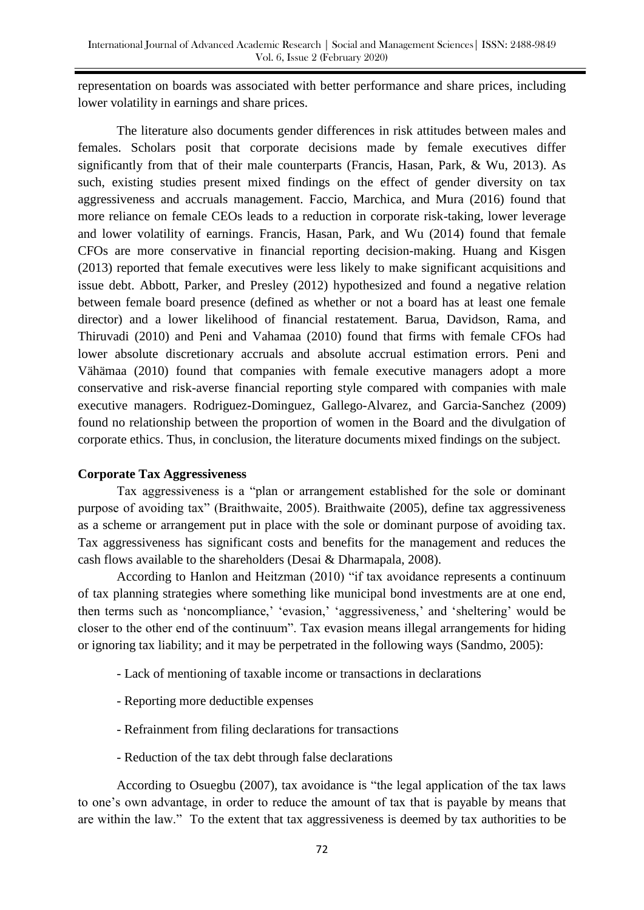representation on boards was associated with better performance and share prices, including lower volatility in earnings and share prices.

The literature also documents gender differences in risk attitudes between males and females. Scholars posit that corporate decisions made by female executives differ significantly from that of their male counterparts (Francis, Hasan, Park, & Wu, 2013). As such, existing studies present mixed findings on the effect of gender diversity on tax aggressiveness and accruals management. Faccio, Marchica, and Mura (2016) found that more reliance on female CEOs leads to a reduction in corporate risk-taking, lower leverage and lower volatility of earnings. Francis, Hasan, Park, and Wu (2014) found that female CFOs are more conservative in financial reporting decision-making. Huang and Kisgen (2013) reported that female executives were less likely to make significant acquisitions and issue debt. Abbott, Parker, and Presley (2012) hypothesized and found a negative relation between female board presence (defined as whether or not a board has at least one female director) and a lower likelihood of financial restatement. Barua, Davidson, Rama, and Thiruvadi (2010) and Peni and Vahamaa (2010) found that firms with female CFOs had lower absolute discretionary accruals and absolute accrual estimation errors. Peni and Vähämaa (2010) found that companies with female executive managers adopt a more conservative and risk-averse financial reporting style compared with companies with male executive managers. Rodriguez-Dominguez, Gallego-Alvarez, and Garcia-Sanchez (2009) found no relationship between the proportion of women in the Board and the divulgation of corporate ethics. Thus, in conclusion, the literature documents mixed findings on the subject.

# **Corporate Tax Aggressiveness**

Tax aggressiveness is a "plan or arrangement established for the sole or dominant purpose of avoiding tax" (Braithwaite, 2005). Braithwaite (2005), define tax aggressiveness as a scheme or arrangement put in place with the sole or dominant purpose of avoiding tax. Tax aggressiveness has significant costs and benefits for the management and reduces the cash flows available to the shareholders (Desai & Dharmapala, 2008).

According to Hanlon and Heitzman (2010) "if tax avoidance represents a continuum of tax planning strategies where something like municipal bond investments are at one end, then terms such as 'noncompliance,' 'evasion,' 'aggressiveness,' and 'sheltering' would be closer to the other end of the continuum". Tax evasion means illegal arrangements for hiding or ignoring tax liability; and it may be perpetrated in the following ways (Sandmo, 2005):

- Lack of mentioning of taxable income or transactions in declarations
- Reporting more deductible expenses
- Refrainment from filing declarations for transactions
- Reduction of the tax debt through false declarations

According to Osuegbu (2007), tax avoidance is "the legal application of the tax laws to one's own advantage, in order to reduce the amount of tax that is payable by means that are within the law." To the extent that tax aggressiveness is deemed by tax authorities to be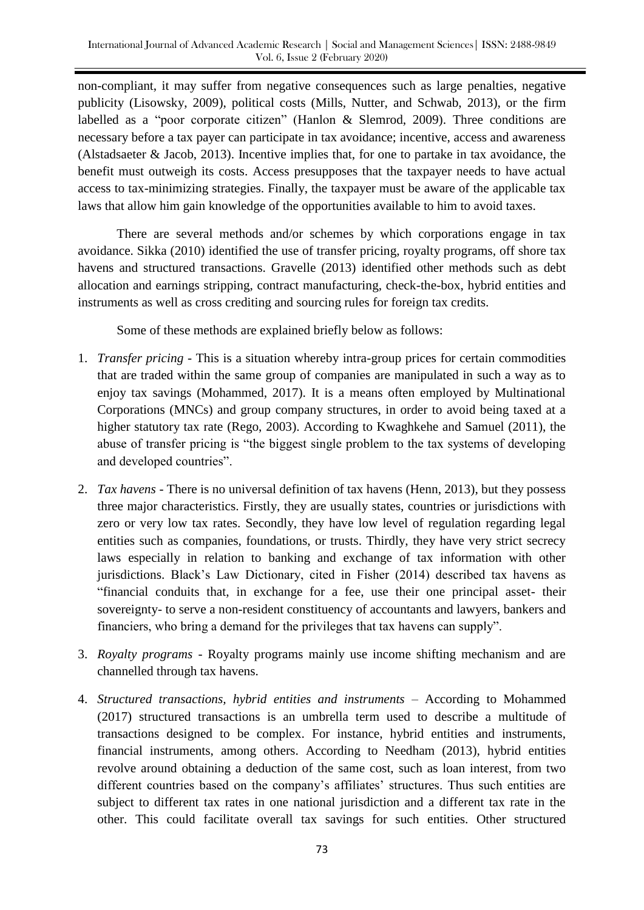non-compliant, it may suffer from negative consequences such as large penalties, negative publicity (Lisowsky, 2009), political costs (Mills, Nutter, and Schwab, 2013), or the firm labelled as a "poor corporate citizen" (Hanlon  $&$  Slemrod, 2009). Three conditions are necessary before a tax payer can participate in tax avoidance; incentive, access and awareness (Alstadsaeter & Jacob, 2013). Incentive implies that, for one to partake in tax avoidance, the benefit must outweigh its costs. Access presupposes that the taxpayer needs to have actual access to tax-minimizing strategies. Finally, the taxpayer must be aware of the applicable tax laws that allow him gain knowledge of the opportunities available to him to avoid taxes.

There are several methods and/or schemes by which corporations engage in tax avoidance. Sikka (2010) identified the use of transfer pricing, royalty programs, off shore tax havens and structured transactions. Gravelle (2013) identified other methods such as debt allocation and earnings stripping, contract manufacturing, check-the-box, hybrid entities and instruments as well as cross crediting and sourcing rules for foreign tax credits.

Some of these methods are explained briefly below as follows:

- 1. *Transfer pricing* This is a situation whereby intra-group prices for certain commodities that are traded within the same group of companies are manipulated in such a way as to enjoy tax savings (Mohammed, 2017). It is a means often employed by Multinational Corporations (MNCs) and group company structures, in order to avoid being taxed at a higher statutory tax rate (Rego, 2003). According to Kwaghkehe and Samuel (2011), the abuse of transfer pricing is "the biggest single problem to the tax systems of developing and developed countries".
- 2. *Tax havens*  There is no universal definition of tax havens (Henn, 2013), but they possess three major characteristics. Firstly, they are usually states, countries or jurisdictions with zero or very low tax rates. Secondly, they have low level of regulation regarding legal entities such as companies, foundations, or trusts. Thirdly, they have very strict secrecy laws especially in relation to banking and exchange of tax information with other jurisdictions. Black's Law Dictionary, cited in Fisher (2014) described tax havens as ―financial conduits that, in exchange for a fee, use their one principal asset- their sovereignty- to serve a non-resident constituency of accountants and lawyers, bankers and financiers, who bring a demand for the privileges that tax havens can supply".
- 3. *Royalty programs*  Royalty programs mainly use income shifting mechanism and are channelled through tax havens.
- 4. *Structured transactions, hybrid entities and instruments*  According to Mohammed (2017) structured transactions is an umbrella term used to describe a multitude of transactions designed to be complex. For instance, hybrid entities and instruments, financial instruments, among others. According to Needham (2013), hybrid entities revolve around obtaining a deduction of the same cost, such as loan interest, from two different countries based on the company's affiliates' structures. Thus such entities are subject to different tax rates in one national jurisdiction and a different tax rate in the other. This could facilitate overall tax savings for such entities. Other structured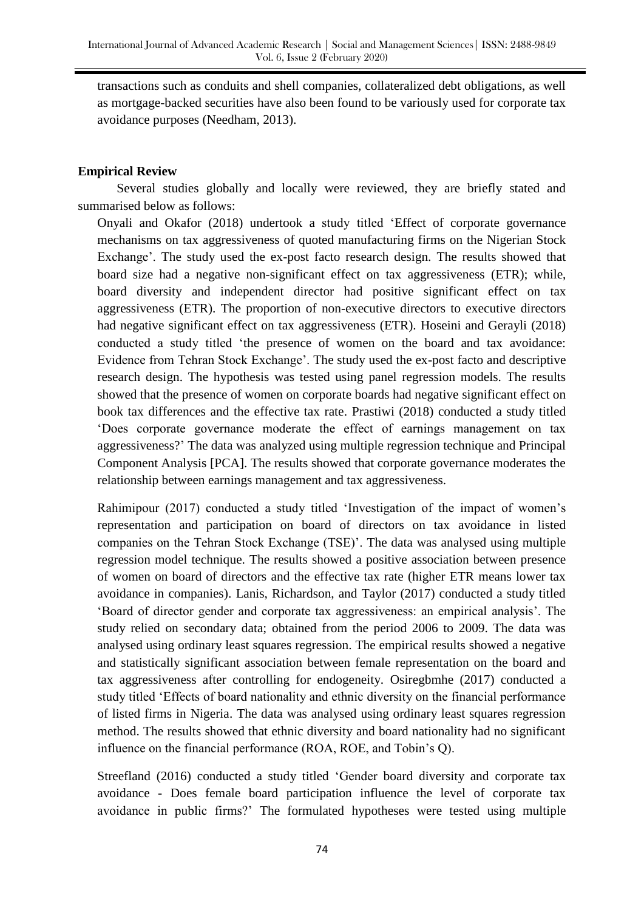transactions such as conduits and shell companies, collateralized debt obligations, as well as mortgage-backed securities have also been found to be variously used for corporate tax avoidance purposes (Needham, 2013).

# **Empirical Review**

Several studies globally and locally were reviewed, they are briefly stated and summarised below as follows:

Onyali and Okafor (2018) undertook a study titled ‗Effect of corporate governance mechanisms on tax aggressiveness of quoted manufacturing firms on the Nigerian Stock Exchange'. The study used the ex-post facto research design. The results showed that board size had a negative non-significant effect on tax aggressiveness (ETR); while, board diversity and independent director had positive significant effect on tax aggressiveness (ETR). The proportion of non-executive directors to executive directors had negative significant effect on tax aggressiveness (ETR). Hoseini and Gerayli (2018) conducted a study titled 'the presence of women on the board and tax avoidance: Evidence from Tehran Stock Exchange'. The study used the ex-post facto and descriptive research design. The hypothesis was tested using panel regression models. The results showed that the presence of women on corporate boards had negative significant effect on book tax differences and the effective tax rate. Prastiwi (2018) conducted a study titled ‗Does corporate governance moderate the effect of earnings management on tax aggressiveness?' The data was analyzed using multiple regression technique and Principal Component Analysis [PCA]. The results showed that corporate governance moderates the relationship between earnings management and tax aggressiveness.

Rahimipour (2017) conducted a study titled 'Investigation of the impact of women's representation and participation on board of directors on tax avoidance in listed companies on the Tehran Stock Exchange (TSE)'. The data was analysed using multiple regression model technique. The results showed a positive association between presence of women on board of directors and the effective tax rate (higher ETR means lower tax avoidance in companies). Lanis, Richardson, and Taylor (2017) conducted a study titled ‗Board of director gender and corporate tax aggressiveness: an empirical analysis'. The study relied on secondary data; obtained from the period 2006 to 2009. The data was analysed using ordinary least squares regression. The empirical results showed a negative and statistically significant association between female representation on the board and tax aggressiveness after controlling for endogeneity. Osiregbmhe (2017) conducted a study titled 'Effects of board nationality and ethnic diversity on the financial performance of listed firms in Nigeria. The data was analysed using ordinary least squares regression method. The results showed that ethnic diversity and board nationality had no significant influence on the financial performance (ROA, ROE, and Tobin's Q).

Streefland (2016) conducted a study titled 'Gender board diversity and corporate tax avoidance - Does female board participation influence the level of corporate tax avoidance in public firms?' The formulated hypotheses were tested using multiple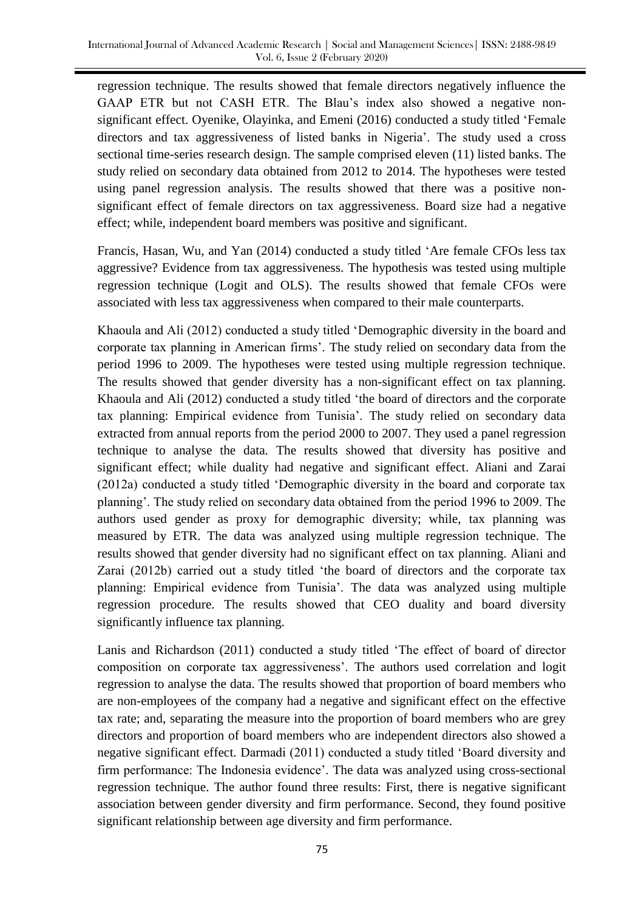regression technique. The results showed that female directors negatively influence the GAAP ETR but not CASH ETR. The Blau's index also showed a negative nonsignificant effect. Oyenike, Olayinka, and Emeni (2016) conducted a study titled 'Female directors and tax aggressiveness of listed banks in Nigeria'. The study used a cross sectional time-series research design. The sample comprised eleven (11) listed banks. The study relied on secondary data obtained from 2012 to 2014. The hypotheses were tested using panel regression analysis. The results showed that there was a positive nonsignificant effect of female directors on tax aggressiveness. Board size had a negative effect; while, independent board members was positive and significant.

Francis, Hasan, Wu, and Yan (2014) conducted a study titled 'Are female CFOs less tax aggressive? Evidence from tax aggressiveness. The hypothesis was tested using multiple regression technique (Logit and OLS). The results showed that female CFOs were associated with less tax aggressiveness when compared to their male counterparts.

Khaoula and Ali (2012) conducted a study titled 'Demographic diversity in the board and corporate tax planning in American firms'. The study relied on secondary data from the period 1996 to 2009. The hypotheses were tested using multiple regression technique. The results showed that gender diversity has a non-significant effect on tax planning. Khaoula and Ali (2012) conducted a study titled 'the board of directors and the corporate tax planning: Empirical evidence from Tunisia'. The study relied on secondary data extracted from annual reports from the period 2000 to 2007. They used a panel regression technique to analyse the data. The results showed that diversity has positive and significant effect; while duality had negative and significant effect. Aliani and Zarai (2012a) conducted a study titled ‗Demographic diversity in the board and corporate tax planning'. The study relied on secondary data obtained from the period 1996 to 2009. The authors used gender as proxy for demographic diversity; while, tax planning was measured by ETR. The data was analyzed using multiple regression technique. The results showed that gender diversity had no significant effect on tax planning. Aliani and Zarai (2012b) carried out a study titled 'the board of directors and the corporate tax planning: Empirical evidence from Tunisia'. The data was analyzed using multiple regression procedure. The results showed that CEO duality and board diversity significantly influence tax planning.

Lanis and Richardson (2011) conducted a study titled 'The effect of board of director composition on corporate tax aggressiveness'. The authors used correlation and logit regression to analyse the data. The results showed that proportion of board members who are non-employees of the company had a negative and significant effect on the effective tax rate; and, separating the measure into the proportion of board members who are grey directors and proportion of board members who are independent directors also showed a negative significant effect. Darmadi (2011) conducted a study titled 'Board diversity and firm performance: The Indonesia evidence'. The data was analyzed using cross-sectional regression technique. The author found three results: First, there is negative significant association between gender diversity and firm performance. Second, they found positive significant relationship between age diversity and firm performance.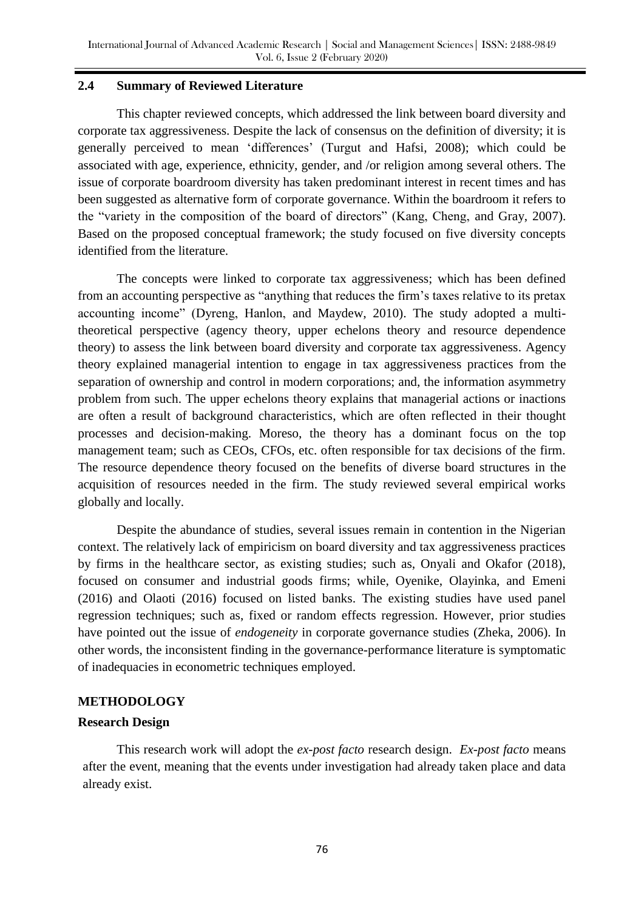### **2.4 Summary of Reviewed Literature**

This chapter reviewed concepts, which addressed the link between board diversity and corporate tax aggressiveness. Despite the lack of consensus on the definition of diversity; it is generally perceived to mean ‗differences' (Turgut and Hafsi, 2008); which could be associated with age, experience, ethnicity, gender, and /or religion among several others. The issue of corporate boardroom diversity has taken predominant interest in recent times and has been suggested as alternative form of corporate governance. Within the boardroom it refers to the "variety in the composition of the board of directors" (Kang, Cheng, and Gray, 2007). Based on the proposed conceptual framework; the study focused on five diversity concepts identified from the literature.

The concepts were linked to corporate tax aggressiveness; which has been defined from an accounting perspective as "anything that reduces the firm's taxes relative to its pretax accounting income" (Dyreng, Hanlon, and Maydew, 2010). The study adopted a multitheoretical perspective (agency theory, upper echelons theory and resource dependence theory) to assess the link between board diversity and corporate tax aggressiveness. Agency theory explained managerial intention to engage in tax aggressiveness practices from the separation of ownership and control in modern corporations; and, the information asymmetry problem from such. The upper echelons theory explains that managerial actions or inactions are often a result of background characteristics, which are often reflected in their thought processes and decision-making. Moreso, the theory has a dominant focus on the top management team; such as CEOs, CFOs, etc. often responsible for tax decisions of the firm. The resource dependence theory focused on the benefits of diverse board structures in the acquisition of resources needed in the firm. The study reviewed several empirical works globally and locally.

Despite the abundance of studies, several issues remain in contention in the Nigerian context. The relatively lack of empiricism on board diversity and tax aggressiveness practices by firms in the healthcare sector, as existing studies; such as, Onyali and Okafor (2018), focused on consumer and industrial goods firms; while, Oyenike, Olayinka, and Emeni (2016) and Olaoti (2016) focused on listed banks. The existing studies have used panel regression techniques; such as, fixed or random effects regression. However, prior studies have pointed out the issue of *endogeneity* in corporate governance studies (Zheka, 2006). In other words, the inconsistent finding in the governance-performance literature is symptomatic of inadequacies in econometric techniques employed.

# **METHODOLOGY**

#### **Research Design**

This research work will adopt the *ex-post facto* research design. *Ex-post facto* means after the event, meaning that the events under investigation had already taken place and data already exist.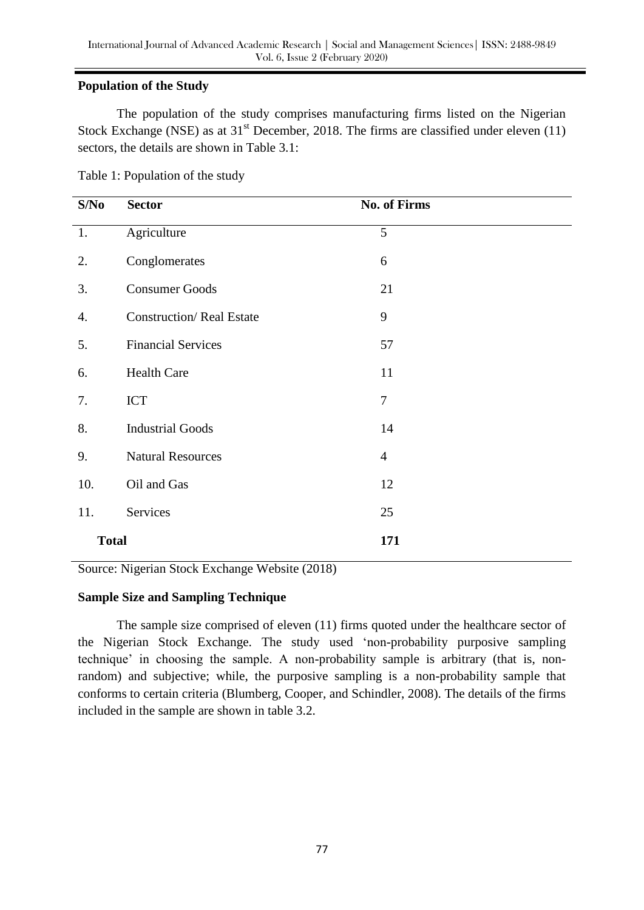# **Population of the Study**

The population of the study comprises manufacturing firms listed on the Nigerian Stock Exchange (NSE) as at  $31<sup>st</sup>$  December, 2018. The firms are classified under eleven (11) sectors, the details are shown in Table 3.1:

| S/No             | <b>Sector</b>                   | <b>No. of Firms</b> |
|------------------|---------------------------------|---------------------|
| 1.               | Agriculture                     | 5                   |
| 2.               | Conglomerates                   | 6                   |
| 3.               | <b>Consumer Goods</b>           | 21                  |
| $\overline{4}$ . | <b>Construction/Real Estate</b> | 9                   |
| 5.               | <b>Financial Services</b>       | 57                  |
| 6.               | <b>Health Care</b>              | 11                  |
| 7.               | <b>ICT</b>                      | $\tau$              |
| 8.               | <b>Industrial Goods</b>         | 14                  |
| 9.               | <b>Natural Resources</b>        | $\overline{4}$      |
| 10.              | Oil and Gas                     | 12                  |
| 11.              | Services                        | 25                  |
| <b>Total</b>     |                                 | 171                 |

Source: Nigerian Stock Exchange Website (2018)

# **Sample Size and Sampling Technique**

The sample size comprised of eleven (11) firms quoted under the healthcare sector of the Nigerian Stock Exchange. The study used 'non-probability purposive sampling technique' in choosing the sample. A non-probability sample is arbitrary (that is, nonrandom) and subjective; while, the purposive sampling is a non-probability sample that conforms to certain criteria (Blumberg, Cooper, and Schindler, 2008). The details of the firms included in the sample are shown in table 3.2.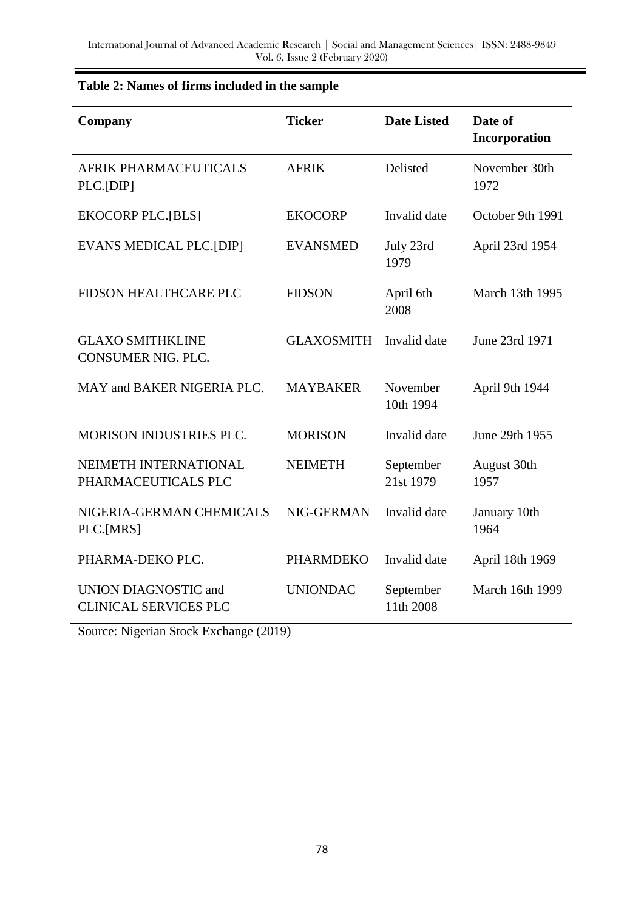| Company                                              | <b>Ticker</b>     | <b>Date Listed</b>     | Date of<br>Incorporation |
|------------------------------------------------------|-------------------|------------------------|--------------------------|
| AFRIK PHARMACEUTICALS<br>PLC.[DIP]                   | <b>AFRIK</b>      | Delisted               | November 30th<br>1972    |
| <b>EKOCORP PLC.[BLS]</b>                             | <b>EKOCORP</b>    | Invalid date           | October 9th 1991         |
| <b>EVANS MEDICAL PLC.[DIP]</b>                       | <b>EVANSMED</b>   | July 23rd<br>1979      | April 23rd 1954          |
| <b>FIDSON HEALTHCARE PLC</b>                         | <b>FIDSON</b>     | April 6th<br>2008      | March 13th 1995          |
| <b>GLAXO SMITHKLINE</b><br>CONSUMER NIG. PLC.        | <b>GLAXOSMITH</b> | Invalid date           | June 23rd 1971           |
| MAY and BAKER NIGERIA PLC.                           | <b>MAYBAKER</b>   | November<br>10th 1994  | April 9th 1944           |
| MORISON INDUSTRIES PLC.                              | <b>MORISON</b>    | Invalid date           | June 29th 1955           |
| NEIMETH INTERNATIONAL<br>PHARMACEUTICALS PLC         | <b>NEIMETH</b>    | September<br>21st 1979 | August 30th<br>1957      |
| NIGERIA-GERMAN CHEMICALS<br>PLC.[MRS]                | NIG-GERMAN        | Invalid date           | January 10th<br>1964     |
| PHARMA-DEKO PLC.                                     | <b>PHARMDEKO</b>  | Invalid date           | April 18th 1969          |
| UNION DIAGNOSTIC and<br><b>CLINICAL SERVICES PLC</b> | <b>UNIONDAC</b>   | September<br>11th 2008 | March 16th 1999          |

# **Table 2: Names of firms included in the sample**

Source: Nigerian Stock Exchange (2019)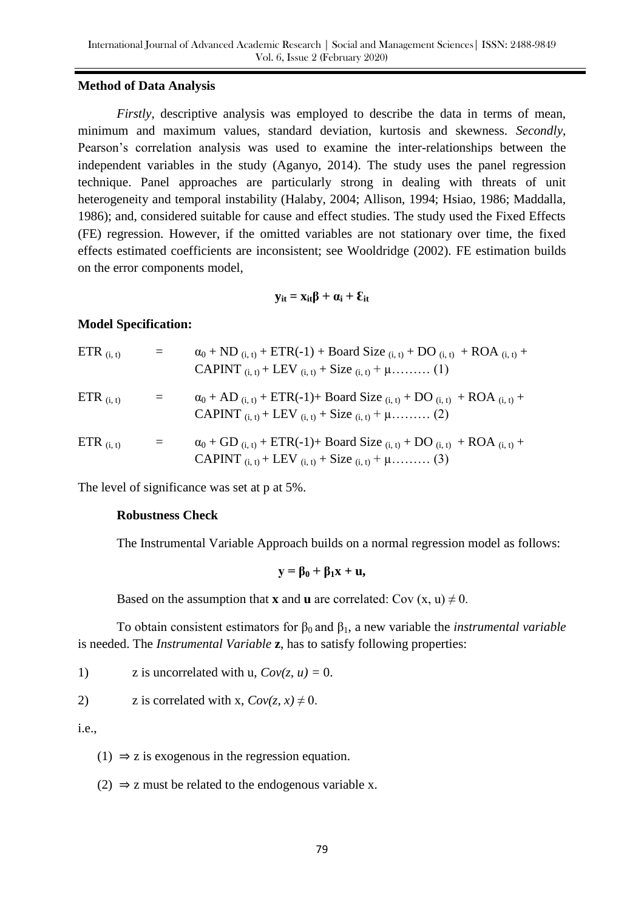#### **Method of Data Analysis**

*Firstly*, descriptive analysis was employed to describe the data in terms of mean, minimum and maximum values, standard deviation, kurtosis and skewness. *Secondly*, Pearson's correlation analysis was used to examine the inter-relationships between the independent variables in the study (Aganyo, 2014). The study uses the panel regression technique. Panel approaches are particularly strong in dealing with threats of unit heterogeneity and temporal instability (Halaby, 2004; Allison, 1994; Hsiao, 1986; Maddalla, 1986); and, considered suitable for cause and effect studies. The study used the Fixed Effects (FE) regression. However, if the omitted variables are not stationary over time, the fixed effects estimated coefficients are inconsistent; see Wooldridge (2002). FE estimation builds on the error components model,

$$
\mathbf{y}_{it} = \mathbf{x}_{it} \boldsymbol{\beta} + \boldsymbol{\alpha}_i + \boldsymbol{\epsilon}_{it}
$$

### **Model Specification:**

| ETR $(i, t)$ |     | $\alpha_0$ + ND $_{(i, t)}$ + ETR(-1) + Board Size $_{(i, t)}$ + DO $_{(i, t)}$ + ROA $_{(i, t)}$ +                                                              |
|--------------|-----|------------------------------------------------------------------------------------------------------------------------------------------------------------------|
| ETR $(i, t)$ | $=$ | $\alpha_0$ + AD $_{(i, t)}$ + ETR(-1)+ Board Size $_{(i, t)}$ + DO $_{(i, t)}$ + ROA $_{(i, t)}$ +                                                               |
| ETR $(i, t)$ | $=$ | $\alpha_0$ + GD $_{(i, t)}$ + ETR(-1)+ Board Size $_{(i, t)}$ + DO $_{(i, t)}$ + ROA $_{(i, t)}$ +<br>CAPINT $(i, t)$ + LEV $(i, t)$ + Size $(i, t)$ + $\mu$ (3) |

The level of significance was set at p at 5%.

#### **Robustness Check**

The Instrumental Variable Approach builds on a normal regression model as follows:

$$
y = \beta_0 + \beta_1 x + u,
$$

Based on the assumption that **x** and **u** are correlated: Cov  $(x, u) \neq 0$ .

To obtain consistent estimators for  $\beta_0$  and  $\beta_1$ , a new variable the *instrumental variable* is needed. The *Instrumental Variable* **z**, has to satisfy following properties:

1) z is uncorrelated with u,  $Cov(z, u) = 0$ .

2) z is correlated with x, 
$$
Cov(z, x) \neq 0
$$
.

i.e.,

 $(1) \Rightarrow$  z is exogenous in the regression equation.

(2)  $\Rightarrow$  z must be related to the endogenous variable x.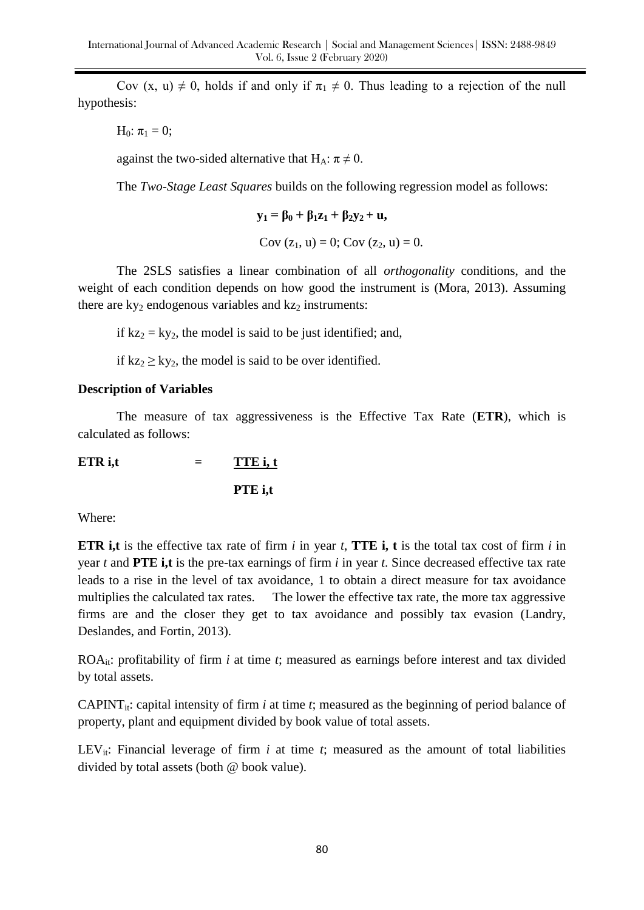Cov (x, u)  $\neq$  0, holds if and only if  $\pi_1 \neq 0$ . Thus leading to a rejection of the null hypothesis:

H<sub>0</sub>:  $\pi_1 = 0$ ;

against the two-sided alternative that  $H_A$ :  $\pi \neq 0$ .

The *Two-Stage Least Squares* builds on the following regression model as follows:

$$
\mathbf{y}_1 = \beta_0 + \beta_1 \mathbf{z}_1 + \beta_2 \mathbf{y}_2 + \mathbf{u},
$$
  
Cov (z<sub>1</sub>, u) = 0; Cov (z<sub>2</sub>, u) = 0.

The 2SLS satisfies a linear combination of all *orthogonality* conditions, and the weight of each condition depends on how good the instrument is (Mora, 2013). Assuming there are  $ky_2$  endogenous variables and  $kz_2$  instruments:

if  $kz_2 = ky_2$ , the model is said to be just identified; and,

if  $kz_2 \geq ky_2$ , the model is said to be over identified.

# **Description of Variables**

The measure of tax aggressiveness is the Effective Tax Rate (**ETR**), which is calculated as follows:

**ETR** i,t  $=$  **TTE** i, t

**PTE i,t** 

Where:

**ETR i,t** is the effective tax rate of firm *i* in year *t*, **TTE i, t** is the total tax cost of firm *i* in year *t* and **PTE i,t** is the pre-tax earnings of firm *i* in year *t*. Since decreased effective tax rate leads to a rise in the level of tax avoidance, 1 to obtain a direct measure for tax avoidance multiplies the calculated tax rates. The lower the effective tax rate, the more tax aggressive firms are and the closer they get to tax avoidance and possibly tax evasion (Landry, Deslandes, and Fortin, 2013).

ROAit: profitability of firm *i* at time *t*; measured as earnings before interest and tax divided by total assets.

CAPINT<sub>it</sub>: capital intensity of firm *i* at time *t*; measured as the beginning of period balance of property, plant and equipment divided by book value of total assets.

LEV<sub>it</sub>: Financial leverage of firm  $i$  at time  $t$ ; measured as the amount of total liabilities divided by total assets (both @ book value).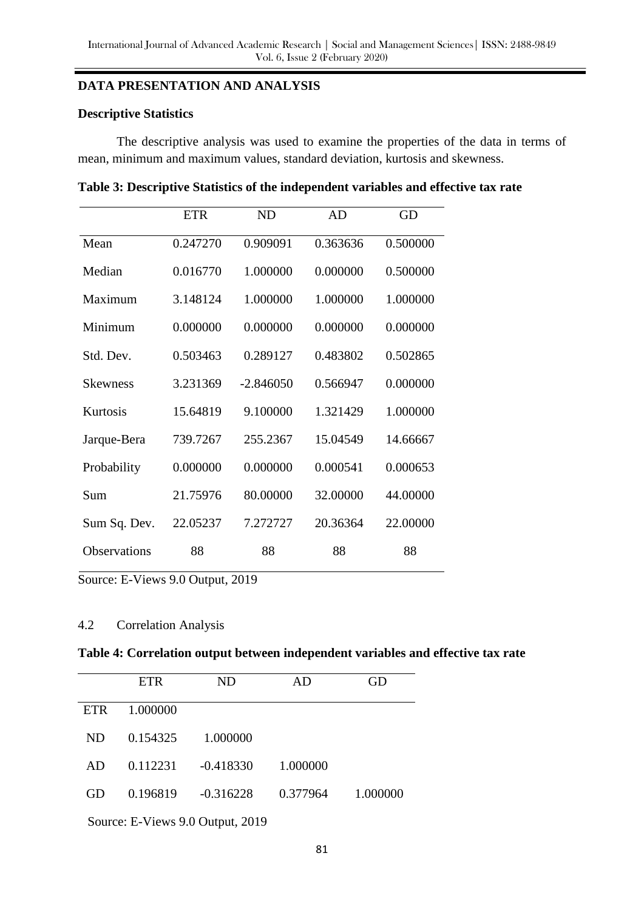#### **DATA PRESENTATION AND ANALYSIS**

#### **Descriptive Statistics**

The descriptive analysis was used to examine the properties of the data in terms of mean, minimum and maximum values, standard deviation, kurtosis and skewness.

|              | <b>ETR</b> | <b>ND</b>   | AD       | GD       |
|--------------|------------|-------------|----------|----------|
| Mean         | 0.247270   | 0.909091    | 0.363636 | 0.500000 |
| Median       | 0.016770   | 1.000000    | 0.000000 | 0.500000 |
| Maximum      | 3.148124   | 1.000000    | 1.000000 | 1.000000 |
| Minimum      | 0.000000   | 0.000000    | 0.000000 | 0.000000 |
| Std. Dev.    | 0.503463   | 0.289127    | 0.483802 | 0.502865 |
| Skewness     | 3.231369   | $-2.846050$ | 0.566947 | 0.000000 |
| Kurtosis     | 15.64819   | 9.100000    | 1.321429 | 1.000000 |
| Jarque-Bera  | 739.7267   | 255,2367    | 15.04549 | 14.66667 |
| Probability  | 0.000000   | 0.000000    | 0.000541 | 0.000653 |
| Sum          | 21.75976   | 80.00000    | 32.00000 | 44.00000 |
| Sum Sq. Dev. | 22.05237   | 7.272727    | 20.36364 | 22.00000 |
| Observations | 88         | 88          | 88       | 88       |

Source: E-Views 9.0 Output, 2019

### 4.2 Correlation Analysis

#### **Table 4: Correlation output between independent variables and effective tax rate**

|            | <b>ETR</b> | ND          | AD       | GD       |
|------------|------------|-------------|----------|----------|
| <b>ETR</b> | 1.000000   |             |          |          |
| ND.        | 0.154325   | 1.000000    |          |          |
| AD         | 0.112231   | $-0.418330$ | 1.000000 |          |
| GD         | 0.196819   | $-0.316228$ | 0.377964 | 1.000000 |
|            |            |             |          |          |

Source: E-Views 9.0 Output, 2019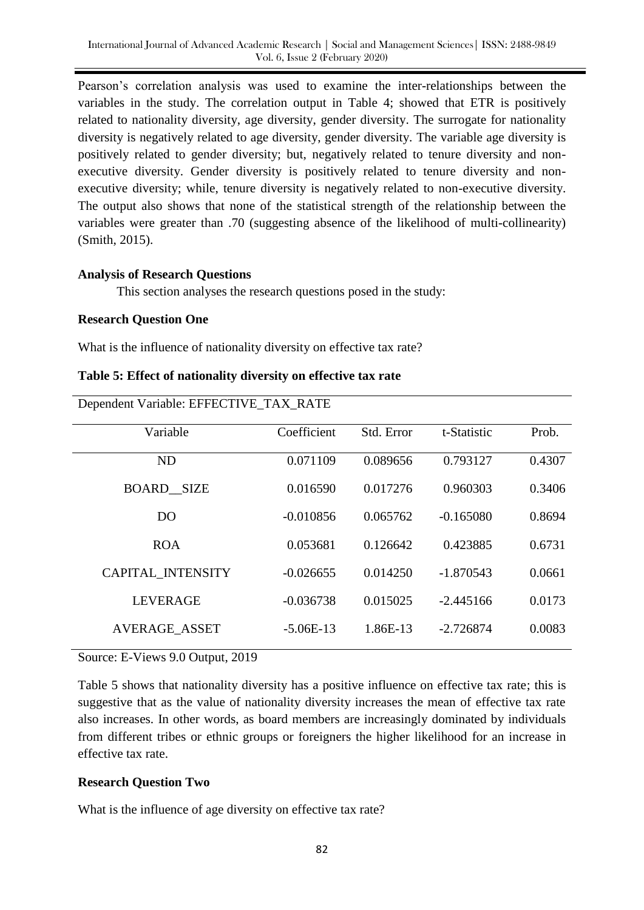Pearson's correlation analysis was used to examine the inter-relationships between the variables in the study. The correlation output in Table 4; showed that ETR is positively related to nationality diversity, age diversity, gender diversity. The surrogate for nationality diversity is negatively related to age diversity, gender diversity. The variable age diversity is positively related to gender diversity; but, negatively related to tenure diversity and nonexecutive diversity. Gender diversity is positively related to tenure diversity and nonexecutive diversity; while, tenure diversity is negatively related to non-executive diversity. The output also shows that none of the statistical strength of the relationship between the variables were greater than .70 (suggesting absence of the likelihood of multi-collinearity) (Smith, 2015).

### **Analysis of Research Questions**

This section analyses the research questions posed in the study:

### **Research Question One**

What is the influence of nationality diversity on effective tax rate?

**Table 5: Effect of nationality diversity on effective tax rate** 

| Dependent Variable: EFFECTIVE_TAX_RATE |  |
|----------------------------------------|--|

| D                    |             |            |             |        |  |  |
|----------------------|-------------|------------|-------------|--------|--|--|
| Variable             | Coefficient | Std. Error | t-Statistic | Prob.  |  |  |
| <b>ND</b>            | 0.071109    | 0.089656   | 0.793127    | 0.4307 |  |  |
| <b>BOARD SIZE</b>    | 0.016590    | 0.017276   | 0.960303    | 0.3406 |  |  |
| D <sub>O</sub>       | $-0.010856$ | 0.065762   | $-0.165080$ | 0.8694 |  |  |
| <b>ROA</b>           | 0.053681    | 0.126642   | 0.423885    | 0.6731 |  |  |
| CAPITAL_INTENSITY    | $-0.026655$ | 0.014250   | $-1.870543$ | 0.0661 |  |  |
| <b>LEVERAGE</b>      | $-0.036738$ | 0.015025   | $-2.445166$ | 0.0173 |  |  |
| <b>AVERAGE ASSET</b> | $-5.06E-13$ | 1.86E-13   | $-2.726874$ | 0.0083 |  |  |

# Source: E-Views 9.0 Output, 2019

Table 5 shows that nationality diversity has a positive influence on effective tax rate; this is suggestive that as the value of nationality diversity increases the mean of effective tax rate also increases. In other words, as board members are increasingly dominated by individuals from different tribes or ethnic groups or foreigners the higher likelihood for an increase in effective tax rate.

# **Research Question Two**

What is the influence of age diversity on effective tax rate?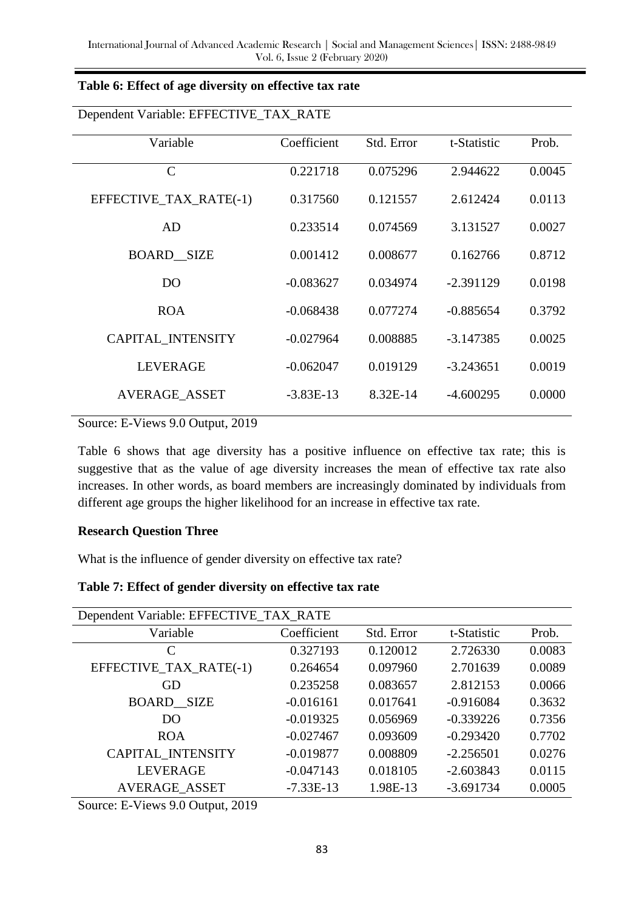| Table 6: Effect of age diversity on effective tax rate |  |  |
|--------------------------------------------------------|--|--|
|                                                        |  |  |

| Dependent Variable: EFFECTIVE_IAX_RAIE |             |            |             |        |  |  |
|----------------------------------------|-------------|------------|-------------|--------|--|--|
| Variable                               | Coefficient | Std. Error | t-Statistic | Prob.  |  |  |
| $\mathsf{C}$                           | 0.221718    | 0.075296   | 2.944622    | 0.0045 |  |  |
| EFFECTIVE_TAX_RATE(-1)                 | 0.317560    | 0.121557   | 2.612424    | 0.0113 |  |  |
| AD                                     | 0.233514    | 0.074569   | 3.131527    | 0.0027 |  |  |
| <b>BOARD SIZE</b>                      | 0.001412    | 0.008677   | 0.162766    | 0.8712 |  |  |
| D <sub>O</sub>                         | $-0.083627$ | 0.034974   | $-2.391129$ | 0.0198 |  |  |
| <b>ROA</b>                             | $-0.068438$ | 0.077274   | $-0.885654$ | 0.3792 |  |  |
| <b>CAPITAL INTENSITY</b>               | $-0.027964$ | 0.008885   | $-3.147385$ | 0.0025 |  |  |
| <b>LEVERAGE</b>                        | $-0.062047$ | 0.019129   | $-3.243651$ | 0.0019 |  |  |
| AVERAGE_ASSET                          | $-3.83E-13$ | 8.32E-14   | $-4.600295$ | 0.0000 |  |  |

Dependent Variable: EFFECTIVE\_TAX\_RATE

Source: E-Views 9.0 Output, 2019

Table 6 shows that age diversity has a positive influence on effective tax rate; this is suggestive that as the value of age diversity increases the mean of effective tax rate also increases. In other words, as board members are increasingly dominated by individuals from different age groups the higher likelihood for an increase in effective tax rate.

#### **Research Question Three**

What is the influence of gender diversity on effective tax rate?

| Dependent Variable: EFFECTIVE_TAX_RATE |             |            |             |        |
|----------------------------------------|-------------|------------|-------------|--------|
| Variable                               | Coefficient | Std. Error | t-Statistic | Prob.  |
| C                                      | 0.327193    | 0.120012   | 2.726330    | 0.0083 |
| EFFECTIVE_TAX_RATE(-1)                 | 0.264654    | 0.097960   | 2.701639    | 0.0089 |
| GD                                     | 0.235258    | 0.083657   | 2.812153    | 0.0066 |
| <b>BOARD SIZE</b>                      | $-0.016161$ | 0.017641   | $-0.916084$ | 0.3632 |
| D <sub>O</sub>                         | $-0.019325$ | 0.056969   | $-0.339226$ | 0.7356 |
| <b>ROA</b>                             | $-0.027467$ | 0.093609   | $-0.293420$ | 0.7702 |
| <b>CAPITAL INTENSITY</b>               | $-0.019877$ | 0.008809   | $-2.256501$ | 0.0276 |
| <b>LEVERAGE</b>                        | $-0.047143$ | 0.018105   | $-2.603843$ | 0.0115 |
| AVERAGE_ASSET                          | $-7.33E-13$ | 1.98E-13   | $-3.691734$ | 0.0005 |
| $\sim$<br>$\blacksquare$               |             |            |             |        |

Source: E-Views 9.0 Output, 2019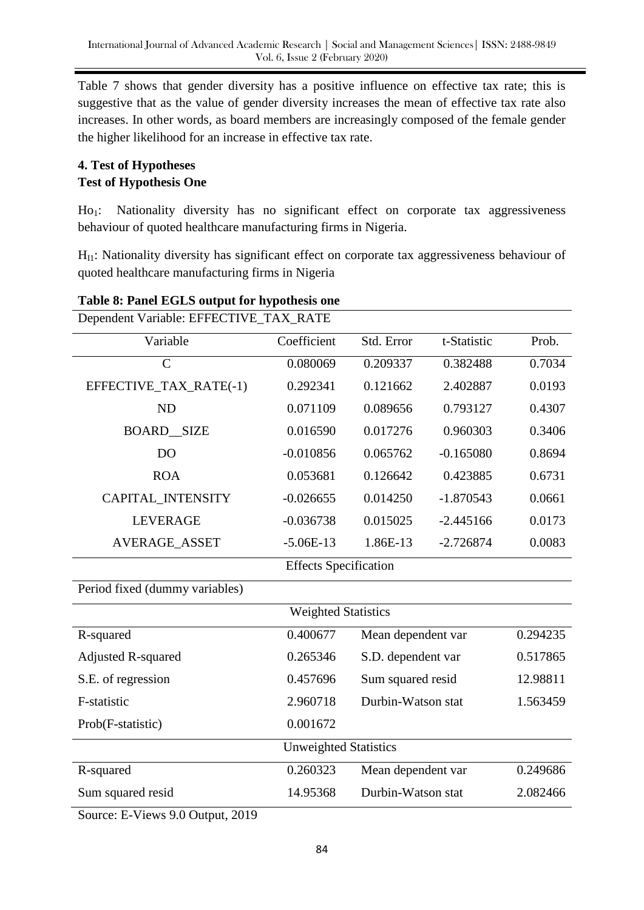Table 7 shows that gender diversity has a positive influence on effective tax rate; this is suggestive that as the value of gender diversity increases the mean of effective tax rate also increases. In other words, as board members are increasingly composed of the female gender the higher likelihood for an increase in effective tax rate.

# **4. Test of Hypotheses Test of Hypothesis One**

Ho<sub>1</sub>: Nationality diversity has no significant effect on corporate tax aggressiveness behaviour of quoted healthcare manufacturing firms in Nigeria.

 $H<sub>II</sub>$ : Nationality diversity has significant effect on corporate tax aggressiveness behaviour of quoted healthcare manufacturing firms in Nigeria

| Dependent Variable: EFFECTIVE_TAX_RATE |             |                    |             |          |  |
|----------------------------------------|-------------|--------------------|-------------|----------|--|
| Variable                               | Coefficient | Std. Error         | t-Statistic | Prob.    |  |
| $\mathcal{C}$                          | 0.080069    | 0.209337           | 0.382488    | 0.7034   |  |
| EFFECTIVE_TAX_RATE(-1)                 | 0.292341    | 0.121662           | 2.402887    | 0.0193   |  |
| <b>ND</b>                              | 0.071109    | 0.089656           | 0.793127    | 0.4307   |  |
| <b>BOARD SIZE</b>                      | 0.016590    | 0.017276           | 0.960303    | 0.3406   |  |
| DO                                     | $-0.010856$ | 0.065762           | $-0.165080$ | 0.8694   |  |
| <b>ROA</b>                             | 0.053681    | 0.126642           | 0.423885    | 0.6731   |  |
| CAPITAL_INTENSITY                      | $-0.026655$ | 0.014250           | $-1.870543$ | 0.0661   |  |
| <b>LEVERAGE</b>                        | $-0.036738$ | 0.015025           | $-2.445166$ | 0.0173   |  |
| AVERAGE_ASSET                          | $-5.06E-13$ | 1.86E-13           | $-2.726874$ | 0.0083   |  |
| <b>Effects Specification</b>           |             |                    |             |          |  |
| Period fixed (dummy variables)         |             |                    |             |          |  |
| <b>Weighted Statistics</b>             |             |                    |             |          |  |
| R-squared                              | 0.400677    | Mean dependent var |             | 0.294235 |  |
| <b>Adjusted R-squared</b>              | 0.265346    | S.D. dependent var |             | 0.517865 |  |
| S.E. of regression                     | 0.457696    | Sum squared resid  |             | 12.98811 |  |
| F-statistic                            | 2.960718    | Durbin-Watson stat |             | 1.563459 |  |
| Prob(F-statistic)                      | 0.001672    |                    |             |          |  |
| <b>Unweighted Statistics</b>           |             |                    |             |          |  |
| R-squared                              | 0.260323    | Mean dependent var |             | 0.249686 |  |
| Sum squared resid                      | 14.95368    | Durbin-Watson stat |             | 2.082466 |  |
| 0.10                                   |             |                    |             |          |  |

# **Table 8: Panel EGLS output for hypothesis one**

Source: E-Views 9.0 Output, 2019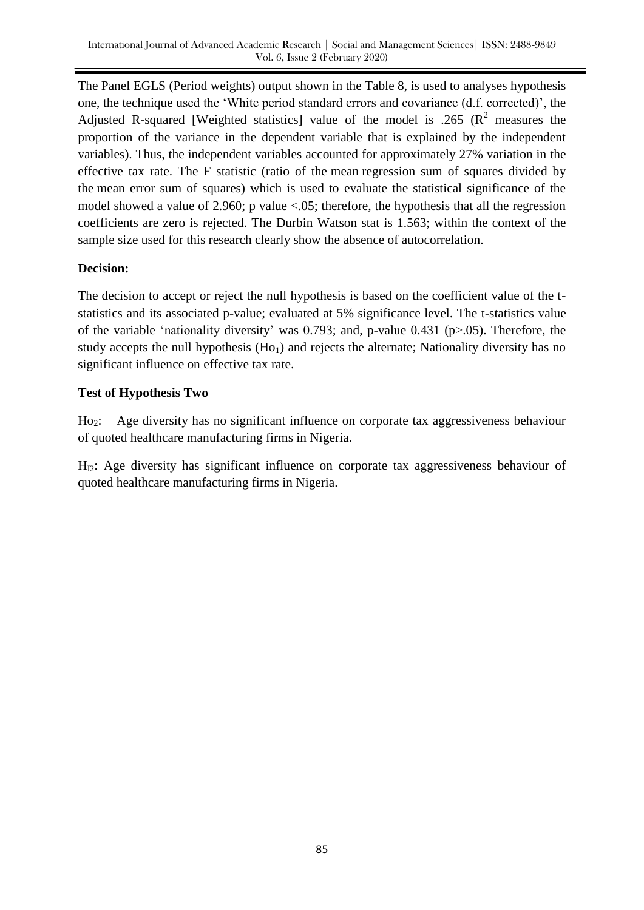The Panel EGLS (Period weights) output shown in the Table 8, is used to analyses hypothesis one, the technique used the ‗White period standard errors and covariance (d.f. corrected)', the Adjusted R-squared [Weighted statistics] value of the model is .265 ( $\mathbb{R}^2$  measures the proportion of the variance in the dependent variable that is explained by the independent variables). Thus, the independent variables accounted for approximately 27% variation in the effective tax rate. The F statistic (ratio of the mean regression sum of squares divided by the mean error sum of squares) which is used to evaluate the statistical significance of the model showed a value of 2.960; p value <.05; therefore, the hypothesis that all the regression coefficients are zero is rejected. The Durbin Watson stat is 1.563; within the context of the sample size used for this research clearly show the absence of autocorrelation.

# **Decision:**

The decision to accept or reject the null hypothesis is based on the coefficient value of the tstatistics and its associated p-value; evaluated at 5% significance level. The t-statistics value of the variable 'nationality diversity' was 0.793; and, p-value 0.431 (p $> 0.05$ ). Therefore, the study accepts the null hypothesis  $(Ho<sub>1</sub>)$  and rejects the alternate; Nationality diversity has no significant influence on effective tax rate.

# **Test of Hypothesis Two**

Ho<sub>2</sub>: Age diversity has no significant influence on corporate tax aggressiveness behaviour of quoted healthcare manufacturing firms in Nigeria.

 $H<sub>12</sub>$ : Age diversity has significant influence on corporate tax aggressiveness behaviour of quoted healthcare manufacturing firms in Nigeria.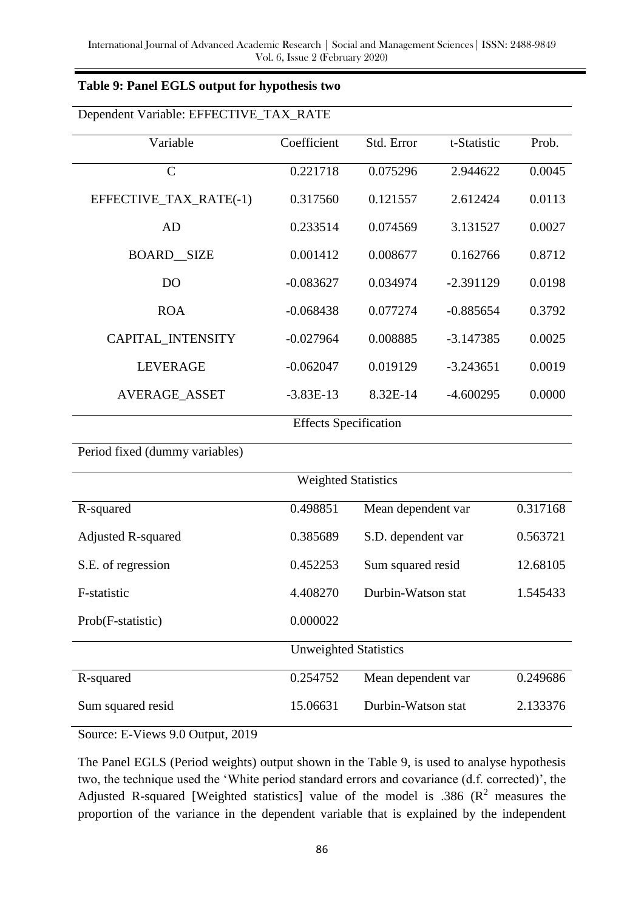| Table 9: Panel EGLS output for hypothesis two |  |  |  |  |
|-----------------------------------------------|--|--|--|--|
|-----------------------------------------------|--|--|--|--|

| Dependent Variable: EFFECTIVE_TAX_RATE |             |                    |             |          |  |
|----------------------------------------|-------------|--------------------|-------------|----------|--|
| Variable                               | Coefficient | Std. Error         | t-Statistic | Prob.    |  |
| $\mathbf C$                            | 0.221718    | 0.075296           | 2.944622    | 0.0045   |  |
| EFFECTIVE_TAX_RATE(-1)                 | 0.317560    | 0.121557           | 2.612424    | 0.0113   |  |
| <b>AD</b>                              | 0.233514    | 0.074569           | 3.131527    | 0.0027   |  |
| <b>BOARD_SIZE</b>                      | 0.001412    | 0.008677           | 0.162766    | 0.8712   |  |
| D <sub>O</sub>                         | $-0.083627$ | 0.034974           | $-2.391129$ | 0.0198   |  |
| <b>ROA</b>                             | $-0.068438$ | 0.077274           | $-0.885654$ | 0.3792   |  |
| <b>CAPITAL INTENSITY</b>               | $-0.027964$ | 0.008885           | $-3.147385$ | 0.0025   |  |
| <b>LEVERAGE</b>                        | $-0.062047$ | 0.019129           | $-3.243651$ | 0.0019   |  |
| <b>AVERAGE_ASSET</b>                   | $-3.83E-13$ | 8.32E-14           | $-4.600295$ | 0.0000   |  |
| <b>Effects Specification</b>           |             |                    |             |          |  |
| Period fixed (dummy variables)         |             |                    |             |          |  |
| <b>Weighted Statistics</b>             |             |                    |             |          |  |
| R-squared                              | 0.498851    | Mean dependent var |             | 0.317168 |  |
| <b>Adjusted R-squared</b>              | 0.385689    | S.D. dependent var |             | 0.563721 |  |
| S.E. of regression                     | 0.452253    | Sum squared resid  |             | 12.68105 |  |
| F-statistic                            | 4.408270    | Durbin-Watson stat |             | 1.545433 |  |
| Prob(F-statistic)                      | 0.000022    |                    |             |          |  |
| <b>Unweighted Statistics</b>           |             |                    |             |          |  |
| R-squared                              | 0.254752    | Mean dependent var |             | 0.249686 |  |
| Sum squared resid                      | 15.06631    | Durbin-Watson stat |             | 2.133376 |  |

Source: E-Views 9.0 Output, 2019

The Panel EGLS (Period weights) output shown in the Table 9, is used to analyse hypothesis two, the technique used the 'White period standard errors and covariance (d.f. corrected)', the Adjusted R-squared [Weighted statistics] value of the model is .386  $(R^2$  measures the proportion of the variance in the dependent variable that is explained by the independent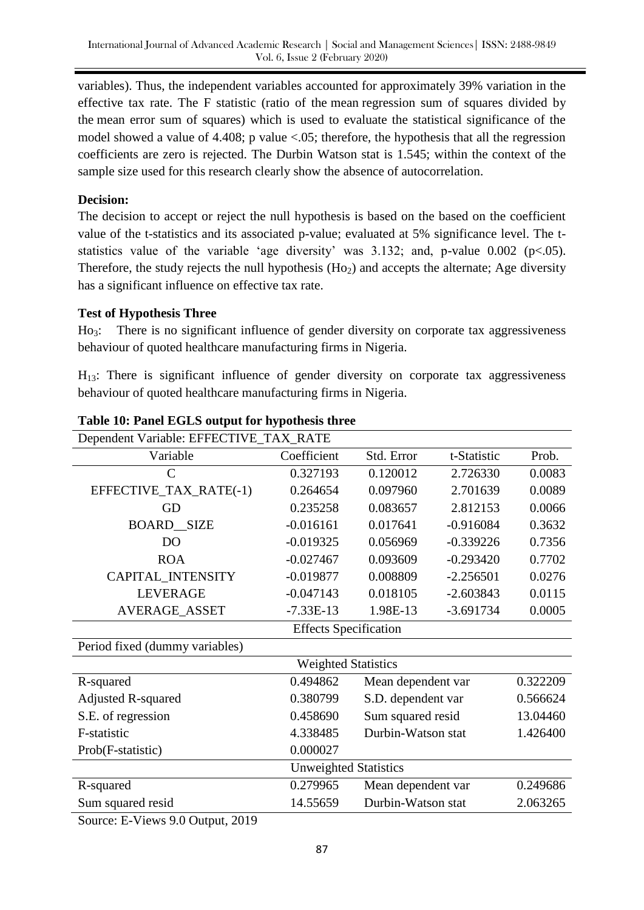variables). Thus, the independent variables accounted for approximately 39% variation in the effective tax rate. The F statistic (ratio of the mean regression sum of squares divided by the mean error sum of squares) which is used to evaluate the statistical significance of the model showed a value of 4.408; p value <.05; therefore, the hypothesis that all the regression coefficients are zero is rejected. The Durbin Watson stat is 1.545; within the context of the sample size used for this research clearly show the absence of autocorrelation.

# **Decision:**

The decision to accept or reject the null hypothesis is based on the based on the coefficient value of the t-statistics and its associated p-value; evaluated at 5% significance level. The tstatistics value of the variable 'age diversity' was  $3.132$ ; and, p-value 0.002 (p<.05). Therefore, the study rejects the null hypothesis  $(H<sub>o2</sub>)$  and accepts the alternate; Age diversity has a significant influence on effective tax rate.

# **Test of Hypothesis Three**

Ho<sub>3</sub>: There is no significant influence of gender diversity on corporate tax aggressiveness behaviour of quoted healthcare manufacturing firms in Nigeria.

 $H_{13}$ : There is significant influence of gender diversity on corporate tax aggressiveness behaviour of quoted healthcare manufacturing firms in Nigeria.

| Dependent Variable: EFFECTIVE_TAX_RATE |             |                    |             |          |  |
|----------------------------------------|-------------|--------------------|-------------|----------|--|
| Variable                               | Coefficient | Std. Error         | t-Statistic | Prob.    |  |
| $\mathcal{C}$                          | 0.327193    | 0.120012           | 2.726330    | 0.0083   |  |
| EFFECTIVE_TAX_RATE(-1)                 | 0.264654    | 0.097960           | 2.701639    | 0.0089   |  |
| <b>GD</b>                              | 0.235258    | 0.083657           | 2.812153    | 0.0066   |  |
| <b>BOARD_SIZE</b>                      | $-0.016161$ | 0.017641           | $-0.916084$ | 0.3632   |  |
| D <sub>O</sub>                         | $-0.019325$ | 0.056969           | $-0.339226$ | 0.7356   |  |
| <b>ROA</b>                             | $-0.027467$ | 0.093609           | $-0.293420$ | 0.7702   |  |
| CAPITAL_INTENSITY                      | $-0.019877$ | 0.008809           | $-2.256501$ | 0.0276   |  |
| <b>LEVERAGE</b>                        | $-0.047143$ | 0.018105           | $-2.603843$ | 0.0115   |  |
| AVERAGE_ASSET                          | $-7.33E-13$ | 1.98E-13           | $-3.691734$ | 0.0005   |  |
| <b>Effects Specification</b>           |             |                    |             |          |  |
| Period fixed (dummy variables)         |             |                    |             |          |  |
| <b>Weighted Statistics</b>             |             |                    |             |          |  |
| R-squared                              | 0.494862    | Mean dependent var |             | 0.322209 |  |
| <b>Adjusted R-squared</b>              | 0.380799    | S.D. dependent var |             | 0.566624 |  |
| S.E. of regression                     | 0.458690    | Sum squared resid  |             | 13.04460 |  |
| F-statistic                            | 4.338485    | Durbin-Watson stat |             | 1.426400 |  |
| Prob(F-statistic)                      | 0.000027    |                    |             |          |  |
| <b>Unweighted Statistics</b>           |             |                    |             |          |  |
| R-squared                              | 0.279965    | Mean dependent var |             | 0.249686 |  |
| Sum squared resid                      | 14.55659    | Durbin-Watson stat |             | 2.063265 |  |
| $\blacksquare$<br>$\sim$ $\sim$ $\sim$ |             |                    |             |          |  |

# **Table 10: Panel EGLS output for hypothesis three**

Source: E-Views 9.0 Output, 2019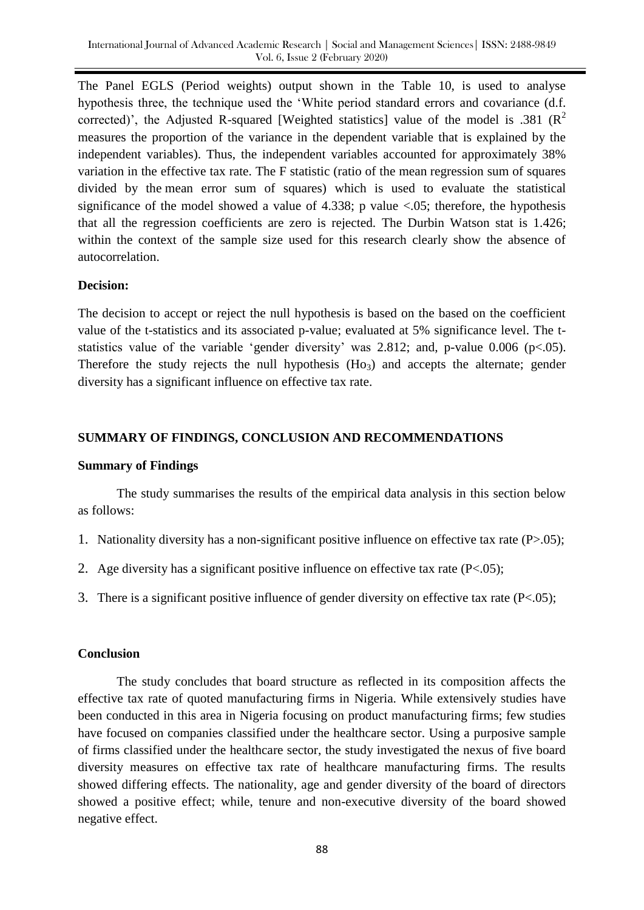The Panel EGLS (Period weights) output shown in the Table 10, is used to analyse hypothesis three, the technique used the 'White period standard errors and covariance (d.f. corrected)', the Adjusted R-squared [Weighted statistics] value of the model is .381 ( $\mathbb{R}^2$ ) measures the proportion of the variance in the dependent variable that is explained by the independent variables). Thus, the independent variables accounted for approximately 38% variation in the effective tax rate. The F statistic (ratio of the mean regression sum of squares divided by the mean error sum of squares) which is used to evaluate the statistical significance of the model showed a value of 4.338; p value  $\lt 0.05$ ; therefore, the hypothesis that all the regression coefficients are zero is rejected. The Durbin Watson stat is 1.426; within the context of the sample size used for this research clearly show the absence of autocorrelation.

### **Decision:**

The decision to accept or reject the null hypothesis is based on the based on the coefficient value of the t-statistics and its associated p-value; evaluated at 5% significance level. The tstatistics value of the variable 'gender diversity' was 2.812; and, p-value 0.006 (p $< .05$ ). Therefore the study rejects the null hypothesis  $(H<sub>o3</sub>)$  and accepts the alternate; gender diversity has a significant influence on effective tax rate.

# **SUMMARY OF FINDINGS, CONCLUSION AND RECOMMENDATIONS**

# **Summary of Findings**

The study summarises the results of the empirical data analysis in this section below as follows:

- 1. Nationality diversity has a non-significant positive influence on effective tax rate (P>.05);
- 2. Age diversity has a significant positive influence on effective tax rate (P<.05);
- 3. There is a significant positive influence of gender diversity on effective tax rate (P<.05);

# **Conclusion**

The study concludes that board structure as reflected in its composition affects the effective tax rate of quoted manufacturing firms in Nigeria. While extensively studies have been conducted in this area in Nigeria focusing on product manufacturing firms; few studies have focused on companies classified under the healthcare sector. Using a purposive sample of firms classified under the healthcare sector, the study investigated the nexus of five board diversity measures on effective tax rate of healthcare manufacturing firms. The results showed differing effects. The nationality, age and gender diversity of the board of directors showed a positive effect; while, tenure and non-executive diversity of the board showed negative effect.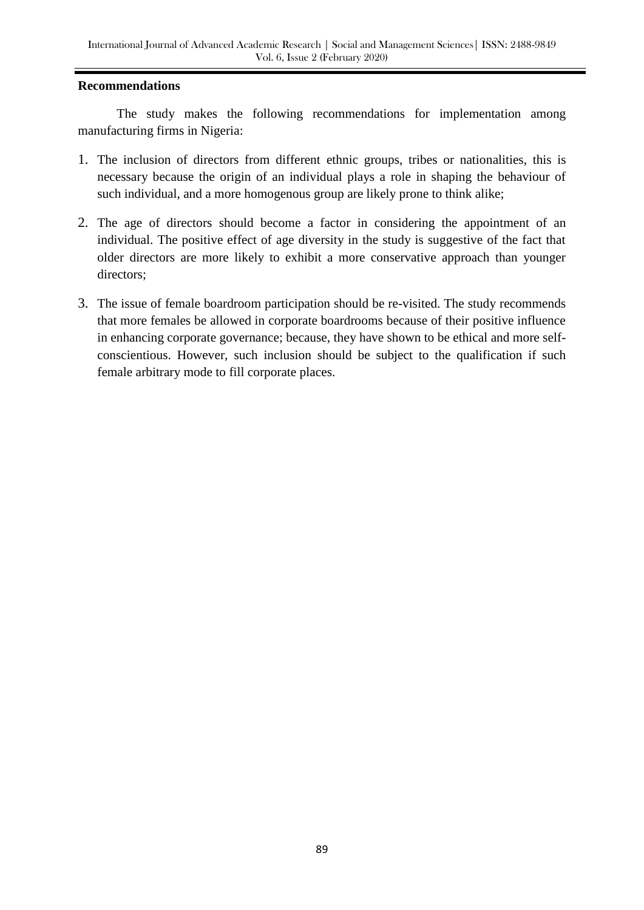#### **Recommendations**

The study makes the following recommendations for implementation among manufacturing firms in Nigeria:

- 1. The inclusion of directors from different ethnic groups, tribes or nationalities, this is necessary because the origin of an individual plays a role in shaping the behaviour of such individual, and a more homogenous group are likely prone to think alike;
- 2. The age of directors should become a factor in considering the appointment of an individual. The positive effect of age diversity in the study is suggestive of the fact that older directors are more likely to exhibit a more conservative approach than younger directors;
- 3. The issue of female boardroom participation should be re-visited. The study recommends that more females be allowed in corporate boardrooms because of their positive influence in enhancing corporate governance; because, they have shown to be ethical and more selfconscientious. However, such inclusion should be subject to the qualification if such female arbitrary mode to fill corporate places.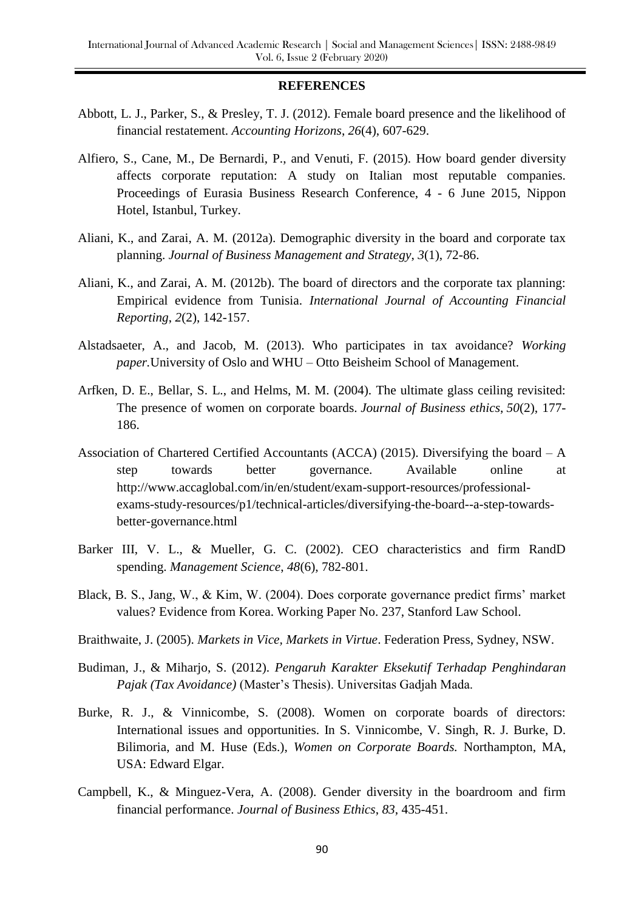#### **REFERENCES**

- Abbott, L. J., Parker, S., & Presley, T. J. (2012). Female board presence and the likelihood of financial restatement. *Accounting Horizons*, *26*(4), 607-629.
- Alfiero, S., Cane, M., De Bernardi, P., and Venuti, F. (2015). How board gender diversity affects corporate reputation: A study on Italian most reputable companies. Proceedings of Eurasia Business Research Conference, 4 - 6 June 2015, Nippon Hotel, Istanbul, Turkey.
- Aliani, K., and Zarai, A. M. (2012a). Demographic diversity in the board and corporate tax planning. *Journal of Business Management and Strategy*, *3*(1), 72-86.
- Aliani, K., and Zarai, A. M. (2012b). The board of directors and the corporate tax planning: Empirical evidence from Tunisia. *International Journal of Accounting Financial Reporting*, *2*(2), 142-157.
- Alstadsaeter, A., and Jacob, M. (2013). Who participates in tax avoidance? *Working paper.*University of Oslo and WHU – Otto Beisheim School of Management.
- Arfken, D. E., Bellar, S. L., and Helms, M. M. (2004). The ultimate glass ceiling revisited: The presence of women on corporate boards. *Journal of Business ethics*, *50*(2), 177- 186.
- Association of Chartered Certified Accountants (ACCA) (2015). Diversifying the board A step towards better governance. Available online at [http://www.accaglobal.com/in/en/student/exam-support-resources/professional](http://www.accaglobal.com/in/en/student/exam-support-resources/professional-exams-study-resources/p1/technical-articles/diversifying-the-board--a-step-towards-better-governance.html)[exams-study-resources/p1/technical-articles/diversifying-the-board--a-step-towards](http://www.accaglobal.com/in/en/student/exam-support-resources/professional-exams-study-resources/p1/technical-articles/diversifying-the-board--a-step-towards-better-governance.html)[better-governance.html](http://www.accaglobal.com/in/en/student/exam-support-resources/professional-exams-study-resources/p1/technical-articles/diversifying-the-board--a-step-towards-better-governance.html)
- Barker III, V. L., & Mueller, G. C. (2002). CEO characteristics and firm RandD spending. *Management Science*, *48*(6), 782-801.
- Black, B. S., Jang, W., & Kim, W. (2004). Does corporate governance predict firms' market values? Evidence from Korea. Working Paper No. 237, Stanford Law School.
- Braithwaite, J. (2005). *Markets in Vice, Markets in Virtue*. Federation Press, Sydney, NSW.
- Budiman, J., & Miharjo, S. (2012). *Pengaruh Karakter Eksekutif Terhadap Penghindaran Pajak (Tax Avoidance)* (Master's Thesis). Universitas Gadjah Mada.
- Burke, R. J., & Vinnicombe, S. (2008). Women on corporate boards of directors: International issues and opportunities. In S. Vinnicombe, V. Singh, R. J. Burke, D. Bilimoria, and M. Huse (Eds.), *Women on Corporate Boards.* Northampton, MA, USA: Edward Elgar.
- Campbell, K., & Minguez-Vera, A. (2008). Gender diversity in the boardroom and firm financial performance. *Journal of Business Ethics*, *83*, 435-451.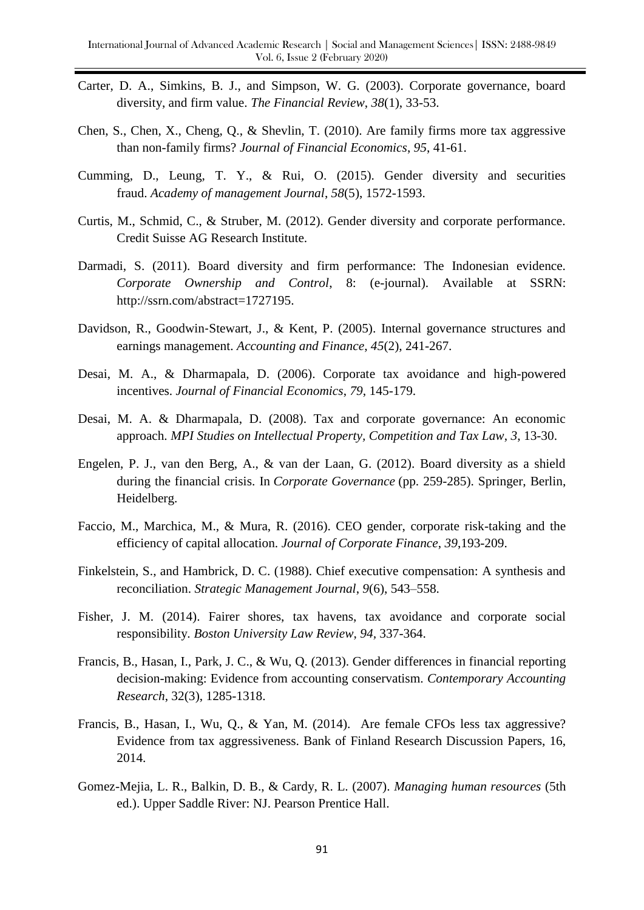- Carter, D. A., Simkins, B. J., and Simpson, W. G. (2003). Corporate governance, board diversity, and firm value. *The Financial Review*, *38*(1), 33-53.
- Chen, S., Chen, X., Cheng, Q., & Shevlin, T. (2010). Are family firms more tax aggressive than non-family firms? *Journal of Financial Economics*, *95*, 41-61.
- Cumming, D., Leung, T. Y., & Rui, O. (2015). Gender diversity and securities fraud. *Academy of management Journal*, *58*(5), 1572-1593.
- Curtis, M., Schmid, C., & Struber, M. (2012). Gender diversity and corporate performance. Credit Suisse AG Research Institute.
- Darmadi, S. (2011). Board diversity and firm performance: The Indonesian evidence. *Corporate Ownership and Control*, 8: (e-journal). Available at SSRN: http://ssrn.com/abstract=1727195.
- Davidson, R., Goodwin-Stewart, J., & Kent, P. (2005). Internal governance structures and earnings management. *Accounting and Finance*, *45*(2), 241-267.
- Desai, M. A., & Dharmapala, D. (2006). Corporate tax avoidance and high-powered incentives. *Journal of Financial Economics*, *79*, 145-179.
- Desai, M. A. & Dharmapala, D. (2008). Tax and corporate governance: An economic approach. *MPI Studies on Intellectual Property, Competition and Tax Law*, *3*, 13-30.
- Engelen, P. J., van den Berg, A., & van der Laan, G. (2012). Board diversity as a shield during the financial crisis. In *Corporate Governance* (pp. 259-285). Springer, Berlin, Heidelberg.
- Faccio, M., Marchica, M., & Mura, R. (2016). CEO gender, corporate risk-taking and the efficiency of capital allocation. *Journal of Corporate Finance*, *39*,193-209.
- Finkelstein, S., and Hambrick, D. C. (1988). Chief executive compensation: A synthesis and reconciliation. *Strategic Management Journal*, *9*(6), 543–558.
- Fisher, J. M. (2014). Fairer shores, tax havens, tax avoidance and corporate social responsibility. *Boston University Law Review*, *94,* 337-364.
- Francis, B., Hasan, I., Park, J. C., & Wu, Q. (2013). Gender differences in financial reporting decision-making: Evidence from accounting conservatism. *Contemporary Accounting Research*, 32(3), 1285-1318.
- Francis, B., Hasan, I., Wu, Q., & Yan, M. (2014). Are female CFOs less tax aggressive? Evidence from tax aggressiveness. Bank of Finland Research Discussion Papers, 16, 2014.
- Gomez-Mejia, L. R., Balkin, D. B., & Cardy, R. L. (2007). *Managing human resources* (5th ed.). Upper Saddle River: NJ. Pearson Prentice Hall.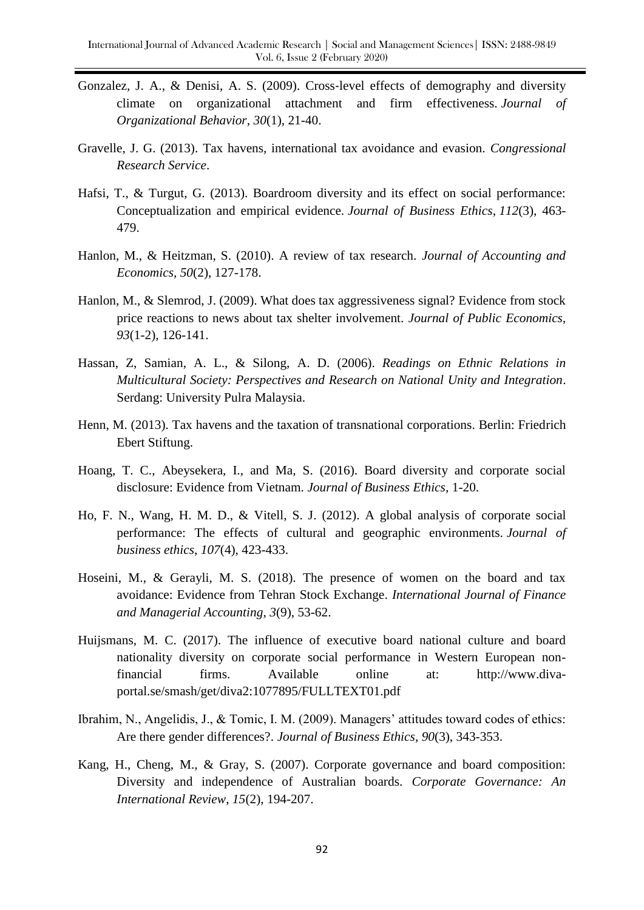- Gonzalez, J. A., & Denisi, A. S. (2009). Cross‐level effects of demography and diversity climate on organizational attachment and firm effectiveness. *Journal of Organizational Behavior*, *30*(1), 21-40.
- Gravelle, J. G. (2013). Tax havens, international tax avoidance and evasion. *Congressional Research Service*.
- Hafsi, T., & Turgut, G. (2013). Boardroom diversity and its effect on social performance: Conceptualization and empirical evidence. *Journal of Business Ethics*, *112*(3), 463- 479.
- Hanlon, M., & Heitzman, S. (2010). A review of tax research. *Journal of Accounting and Economics, 50*(2), 127-178.
- Hanlon, M., & Slemrod, J. (2009). What does tax aggressiveness signal? Evidence from stock price reactions to news about tax shelter involvement. *Journal of Public Economics, 93*(1-2), 126-141.
- Hassan, Z, Samian, A. L., & Silong, A. D. (2006). *Readings on Ethnic Relations in Multicultural Society: Perspectives and Research on National Unity and Integration*. Serdang: University Pulra Malaysia.
- Henn, M. (2013). Tax havens and the taxation of transnational corporations. Berlin: Friedrich Ebert Stiftung.
- Hoang, T. C., Abeysekera, I., and Ma, S. (2016). Board diversity and corporate social disclosure: Evidence from Vietnam. *Journal of Business Ethics*, 1-20.
- Ho, F. N., Wang, H. M. D., & Vitell, S. J. (2012). A global analysis of corporate social performance: The effects of cultural and geographic environments. *Journal of business ethics*, *107*(4), 423-433.
- Hoseini, M., & Gerayli, M. S. (2018). The presence of women on the board and tax avoidance: Evidence from Tehran Stock Exchange. *International Journal of Finance and Managerial Accounting*, *3*(9), 53-62.
- Huijsmans, M. C. (2017). The influence of executive board national culture and board nationality diversity on corporate social performance in Western European nonfinancial firms. Available online at: http://www.divaportal.se/smash/get/diva2:1077895/FULLTEXT01.pdf
- Ibrahim, N., Angelidis, J., & Tomic, I. M. (2009). Managers' attitudes toward codes of ethics: Are there gender differences?. *Journal of Business Ethics*, *90*(3), 343-353.
- Kang, H., Cheng, M., & Gray, S. (2007). Corporate governance and board composition: Diversity and independence of Australian boards. *Corporate Governance: An International Review*, *15*(2), 194-207.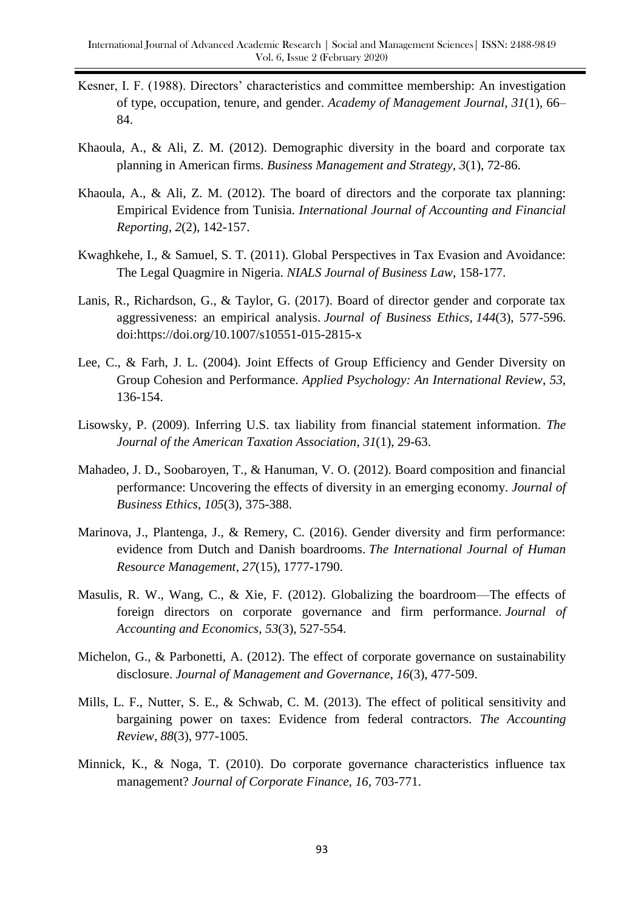- Kesner, I. F. (1988). Directors' characteristics and committee membership: An investigation of type, occupation, tenure, and gender. *Academy of Management Journal*, *31*(1), 66– 84.
- Khaoula, A., & Ali, Z. M. (2012). Demographic diversity in the board and corporate tax planning in American firms. *Business Management and Strategy*, *3*(1), 72-86.
- Khaoula, A., & Ali, Z. M. (2012). The board of directors and the corporate tax planning: Empirical Evidence from Tunisia. *International Journal of Accounting and Financial Reporting*, *2*(2), 142-157.
- Kwaghkehe, I., & Samuel, S. T. (2011). Global Perspectives in Tax Evasion and Avoidance: The Legal Quagmire in Nigeria. *NIALS Journal of Business Law,* 158-177.
- Lanis, R., Richardson, G., & Taylor, G. (2017). Board of director gender and corporate tax aggressiveness: an empirical analysis. *Journal of Business Ethics*, *144*(3), 577-596. doi:https://doi.org/10.1007/s10551-015-2815-x
- Lee, C., & Farh, J. L. (2004). Joint Effects of Group Efficiency and Gender Diversity on Group Cohesion and Performance. *Applied Psychology: An International Review*, *53*, 136-154.
- Lisowsky, P. (2009). Inferring U.S. tax liability from financial statement information. *The Journal of the American Taxation Association*, *31*(1), 29-63.
- Mahadeo, J. D., Soobaroyen, T., & Hanuman, V. O. (2012). Board composition and financial performance: Uncovering the effects of diversity in an emerging economy. *Journal of Business Ethics*, *105*(3), 375-388.
- Marinova, J., Plantenga, J., & Remery, C. (2016). Gender diversity and firm performance: evidence from Dutch and Danish boardrooms. *The International Journal of Human Resource Management*, *27*(15), 1777-1790.
- Masulis, R. W., Wang, C., & Xie, F. (2012). Globalizing the boardroom—The effects of foreign directors on corporate governance and firm performance. *Journal of Accounting and Economics*, *53*(3), 527-554.
- Michelon, G., & Parbonetti, A. (2012). The effect of corporate governance on sustainability disclosure. *Journal of Management and Governance*, *16*(3), 477-509.
- Mills, L. F., Nutter, S. E., & Schwab, C. M. (2013). The effect of political sensitivity and bargaining power on taxes: Evidence from federal contractors. *The Accounting Review*, *88*(3), 977-1005.
- Minnick, K., & Noga, T. (2010). Do corporate governance characteristics influence tax management? *Journal of Corporate Finance, 16*, 703-771.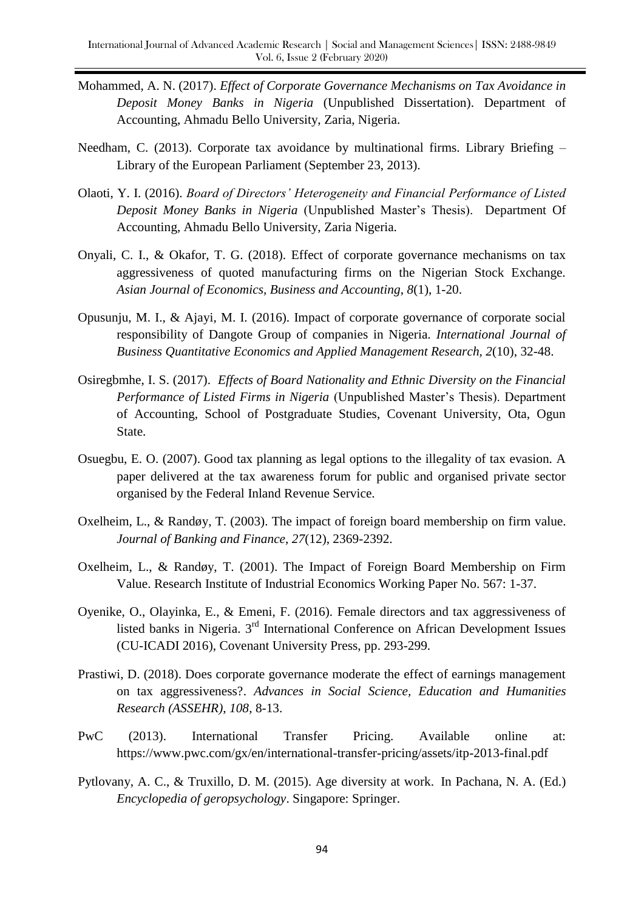- Mohammed, A. N. (2017). *Effect of Corporate Governance Mechanisms on Tax Avoidance in Deposit Money Banks in Nigeria* (Unpublished Dissertation). Department of Accounting, Ahmadu Bello University, Zaria, Nigeria.
- Needham, C. (2013). Corporate tax avoidance by multinational firms. Library Briefing Library of the European Parliament (September 23, 2013).
- Olaoti, Y. I. (2016). *Board of Directors' Heterogeneity and Financial Performance of Listed Deposit Money Banks in Nigeria* (Unpublished Master's Thesis). Department Of Accounting, Ahmadu Bello University, Zaria Nigeria.
- Onyali, C. I., & Okafor, T. G. (2018). Effect of corporate governance mechanisms on tax aggressiveness of quoted manufacturing firms on the Nigerian Stock Exchange. *Asian Journal of Economics, Business and Accounting*, *8*(1), 1-20.
- Opusunju, M. I., & Ajayi, M. I. (2016). Impact of corporate governance of corporate social responsibility of Dangote Group of companies in Nigeria. *International Journal of Business Quantitative Economics and Applied Management Research, 2*(10), 32-48.
- Osiregbmhe, I. S. (2017). *Effects of Board Nationality and Ethnic Diversity on the Financial Performance of Listed Firms in Nigeria* (Unpublished Master's Thesis). Department of Accounting, School of Postgraduate Studies, Covenant University, Ota, Ogun State.
- Osuegbu, E. O. (2007). Good tax planning as legal options to the illegality of tax evasion. A paper delivered at the tax awareness forum for public and organised private sector organised by the Federal Inland Revenue Service.
- Oxelheim, L., & Randøy, T. (2003). The impact of foreign board membership on firm value. *Journal of Banking and Finance*, *27*(12), 2369-2392.
- Oxelheim, L., & Randøy, T. (2001). The Impact of Foreign Board Membership on Firm Value. Research Institute of Industrial Economics Working Paper No. 567: 1-37.
- Oyenike, O., Olayinka, E., & Emeni, F. (2016). Female directors and tax aggressiveness of listed banks in Nigeria. 3rd International Conference on African Development Issues (CU-ICADI 2016), Covenant University Press, pp. 293-299.
- Prastiwi, D. (2018). Does corporate governance moderate the effect of earnings management on tax aggressiveness?. *Advances in Social Science, Education and Humanities Research (ASSEHR)*, *108*, 8-13.
- PwC (2013). International Transfer Pricing. Available online at: https://www.pwc.com/gx/en/international-transfer-pricing/assets/itp-2013-final.pdf
- Pytlovany, A. C., & Truxillo, D. M. (2015). Age diversity at work. In Pachana, N. A. (Ed.) *Encyclopedia of geropsychology*. Singapore: Springer.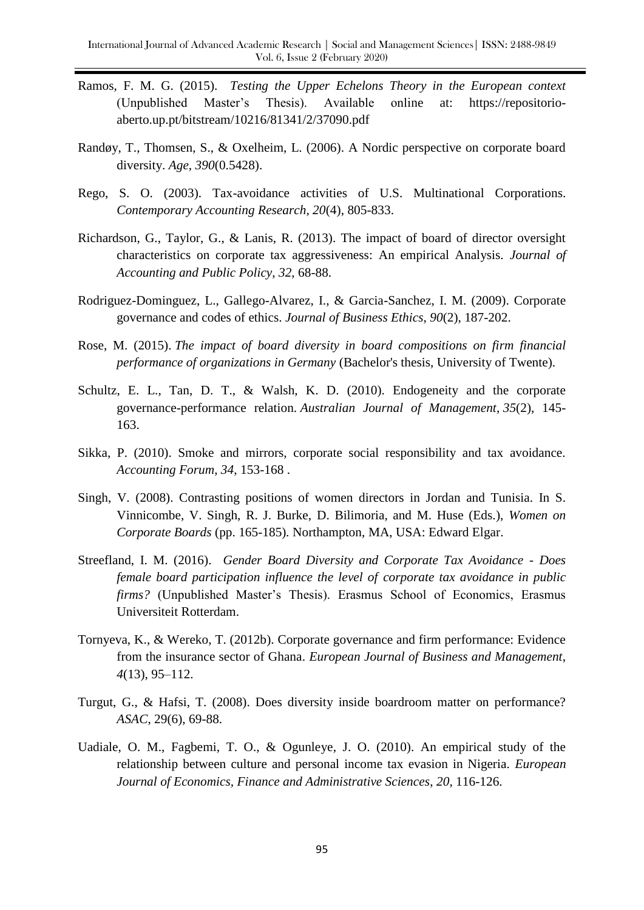- Ramos, F. M. G. (2015). *Testing the Upper Echelons Theory in the European context* (Unpublished Master's Thesis). Available online at: https://repositorioaberto.up.pt/bitstream/10216/81341/2/37090.pdf
- Randøy, T., Thomsen, S., & Oxelheim, L. (2006). A Nordic perspective on corporate board diversity. *Age*, *390*(0.5428).
- Rego, S. O. (2003). Tax-avoidance activities of U.S. Multinational Corporations. *Contemporary Accounting Research, 20*(4), 805-833.
- Richardson, G., Taylor, G., & Lanis, R. (2013). The impact of board of director oversight characteristics on corporate tax aggressiveness: An empirical Analysis. *Journal of Accounting and Public Policy*, *32*, 68-88.
- Rodriguez-Dominguez, L., Gallego-Alvarez, I., & Garcia-Sanchez, I. M. (2009). Corporate governance and codes of ethics. *Journal of Business Ethics*, *90*(2), 187-202.
- Rose, M. (2015). *The impact of board diversity in board compositions on firm financial performance of organizations in Germany* (Bachelor's thesis, University of Twente).
- Schultz, E. L., Tan, D. T., & Walsh, K. D. (2010). Endogeneity and the corporate governance-performance relation. *Australian Journal of Management*, *35*(2), 145- 163.
- Sikka, P. (2010). Smoke and mirrors, corporate social responsibility and tax avoidance. *Accounting Forum*, *34*, 153-168 .
- Singh, V. (2008). Contrasting positions of women directors in Jordan and Tunisia. In S. Vinnicombe, V. Singh, R. J. Burke, D. Bilimoria, and M. Huse (Eds.), *Women on Corporate Boards* (pp. 165-185)*.* Northampton, MA, USA: Edward Elgar.
- Streefland, I. M. (2016). *Gender Board Diversity and Corporate Tax Avoidance - Does female board participation influence the level of corporate tax avoidance in public firms?* (Unpublished Master's Thesis). Erasmus School of Economics, Erasmus Universiteit Rotterdam.
- Tornyeva, K., & Wereko, T. (2012b). Corporate governance and firm performance: Evidence from the insurance sector of Ghana. *European Journal of Business and Management*, *4*(13), 95–112.
- Turgut, G., & Hafsi, T. (2008). Does diversity inside boardroom matter on performance? *ASAC*, 29(6), 69-88.
- Uadiale, O. M., Fagbemi, T. O., & Ogunleye, J. O. (2010). An empirical study of the relationship between culture and personal income tax evasion in Nigeria. *European Journal of Economics, Finance and Administrative Sciences*, *20*, 116-126.